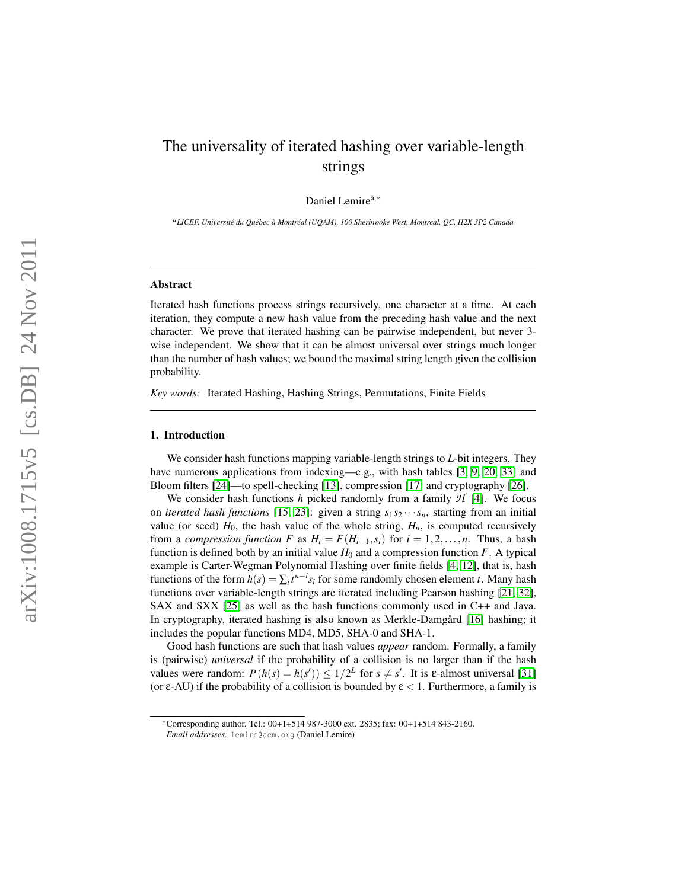# The universality of iterated hashing over variable-length strings

Daniel Lemire<sup>a,∗</sup>

*<sup>a</sup>LICEF, Universite du Qu ´ ebec ´ a Montr ` eal (UQAM), 100 Sherbrooke West, Montreal, QC, H2X 3P2 Canada ´*

## Abstract

Iterated hash functions process strings recursively, one character at a time. At each iteration, they compute a new hash value from the preceding hash value and the next character. We prove that iterated hashing can be pairwise independent, but never 3 wise independent. We show that it can be almost universal over strings much longer than the number of hash values; we bound the maximal string length given the collision probability.

*Key words:* Iterated Hashing, Hashing Strings, Permutations, Finite Fields

#### 1. Introduction

We consider hash functions mapping variable-length strings to *L*-bit integers. They have numerous applications from indexing—e.g., with hash tables [\[3,](#page-19-0) [9,](#page-19-1) [20,](#page-20-0) [33\]](#page-20-1) and Bloom filters [\[24\]](#page-20-2)—to spell-checking [\[13\]](#page-19-2), compression [\[17\]](#page-19-3) and cryptography [\[26\]](#page-20-3).

We consider hash functions  $h$  picked randomly from a family  $H$  [\[4\]](#page-19-4). We focus on *iterated hash functions* [\[15,](#page-19-5) [23\]](#page-20-4): given a string  $s_1 s_2 \cdots s_n$ , starting from an initial value (or seed)  $H_0$ , the hash value of the whole string,  $H_n$ , is computed recursively from a *compression function* F as  $H_i = F(H_{i-1}, s_i)$  for  $i = 1, 2, ..., n$ . Thus, a hash function is defined both by an initial value  $H_0$  and a compression function  $F$ . A typical example is Carter-Wegman Polynomial Hashing over finite fields [\[4,](#page-19-4) [12\]](#page-19-6), that is, hash functions of the form  $h(s) = \sum_i t^{n-i} s_i$  for some randomly chosen element *t*. Many hash functions over variable-length strings are iterated including Pearson hashing [\[21,](#page-20-5) [32\]](#page-20-6), SAX and SXX [\[25\]](#page-20-7) as well as the hash functions commonly used in C++ and Java. In cryptography, iterated hashing is also known as Merkle-Damgard [\[16\]](#page-19-7) hashing; it includes the popular functions MD4, MD5, SHA-0 and SHA-1.

Good hash functions are such that hash values *appear* random. Formally, a family is (pairwise) *universal* if the probability of a collision is no larger than if the hash values were random:  $P(h(s) = h(s')) \leq 1/2^L$  for  $s \neq s'$ . It is  $\varepsilon$ -almost universal [\[31\]](#page-20-8) (or  $\varepsilon$ -AU) if the probability of a collision is bounded by  $\varepsilon$  < 1. Furthermore, a family is

<sup>∗</sup>Corresponding author. Tel.: 00+1+514 987-3000 ext. 2835; fax: 00+1+514 843-2160.

*Email addresses:* lemire@acm.org (Daniel Lemire)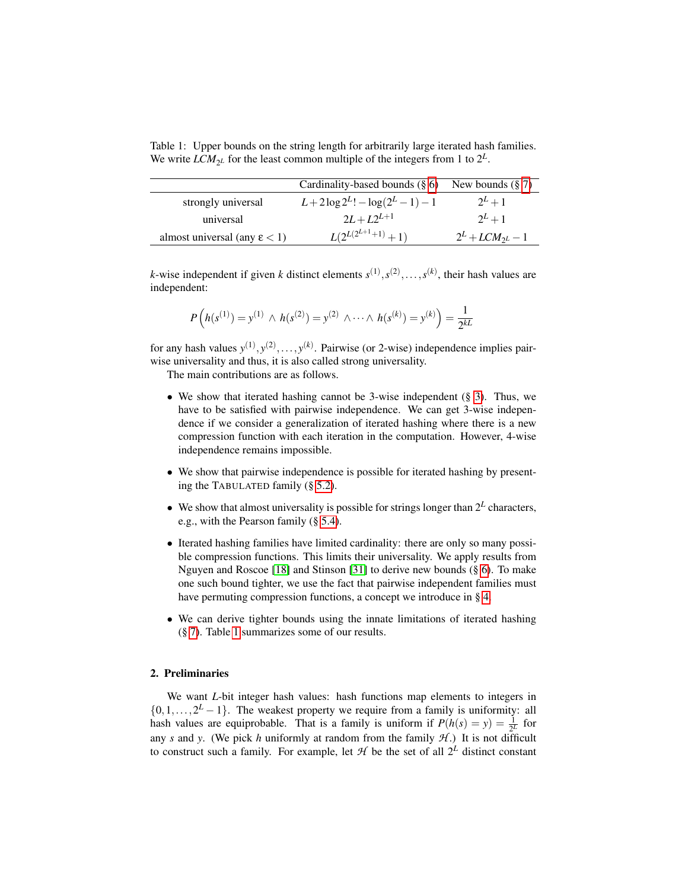<span id="page-1-0"></span>Table 1: Upper bounds on the string length for arbitrarily large iterated hash families. We write  $LCM_{2^L}$  for the least common multiple of the integers from 1 to  $2^L$ .

|                                       | Cardinality-based bounds $(\S 6)$ | New bounds $(\S 7)$  |
|---------------------------------------|-----------------------------------|----------------------|
| strongly universal                    | $L+2\log 2^{L}!-\log(2^{L}-1)-1$  | $2^L+1$              |
| universal                             | $2L + L2^{L+1}$                   | $2^L+1$              |
| almost universal (any $\epsilon$ < 1) | $L(2^{L(2^{L+1}+1)}+1)$           | $2^L + LCM_{2L} - 1$ |

*k*-wise independent if given *k* distinct elements  $s^{(1)}, s^{(2)}, \ldots, s^{(k)}$ , their hash values are independent:

$$
P\left(h(s^{(1)}) = y^{(1)} \wedge h(s^{(2)}) = y^{(2)} \wedge \cdots \wedge h(s^{(k)}) = y^{(k)}\right) = \frac{1}{2^{kL}}
$$

for any hash values  $y^{(1)}, y^{(2)}, \ldots, y^{(k)}$ . Pairwise (or 2-wise) independence implies pairwise universality and thus, it is also called strong universality.

The main contributions are as follows.

- We show that iterated hashing cannot be 3-wise independent  $(\S 3)$  $(\S 3)$ . Thus, we have to be satisfied with pairwise independence. We can get 3-wise independence if we consider a generalization of iterated hashing where there is a new compression function with each iteration in the computation. However, 4-wise independence remains impossible.
- We show that pairwise independence is possible for iterated hashing by presenting the TABULATED family (§ [5.2\)](#page-9-0).
- We show that almost universality is possible for strings longer than  $2^L$  characters, e.g., with the Pearson family (§ [5.4\)](#page-11-0).
- Iterated hashing families have limited cardinality: there are only so many possible compression functions. This limits their universality. We apply results from Nguyen and Roscoe [\[18\]](#page-19-8) and Stinson [\[31\]](#page-20-8) to derive new bounds (§ [6\)](#page-13-0). To make one such bound tighter, we use the fact that pairwise independent families must have permuting compression functions, a concept we introduce in § [4.](#page-6-0)
- We can derive tighter bounds using the innate limitations of iterated hashing (§ [7\)](#page-16-0). Table [1](#page-1-0) summarizes some of our results.

# 2. Preliminaries

We want *L*-bit integer hash values: hash functions map elements to integers in  $\{0, 1, \ldots, 2^L - 1\}$ . The weakest property we require from a family is uniformity: all hash values are equiprobable. That is a family is uniform if  $P(h(s) = y) = \frac{1}{2^L}$  for any *s* and *y*. (We pick *h* uniformly at random from the family  $H$ .) It is not difficult to construct such a family. For example, let  $H$  be the set of all  $2^L$  distinct constant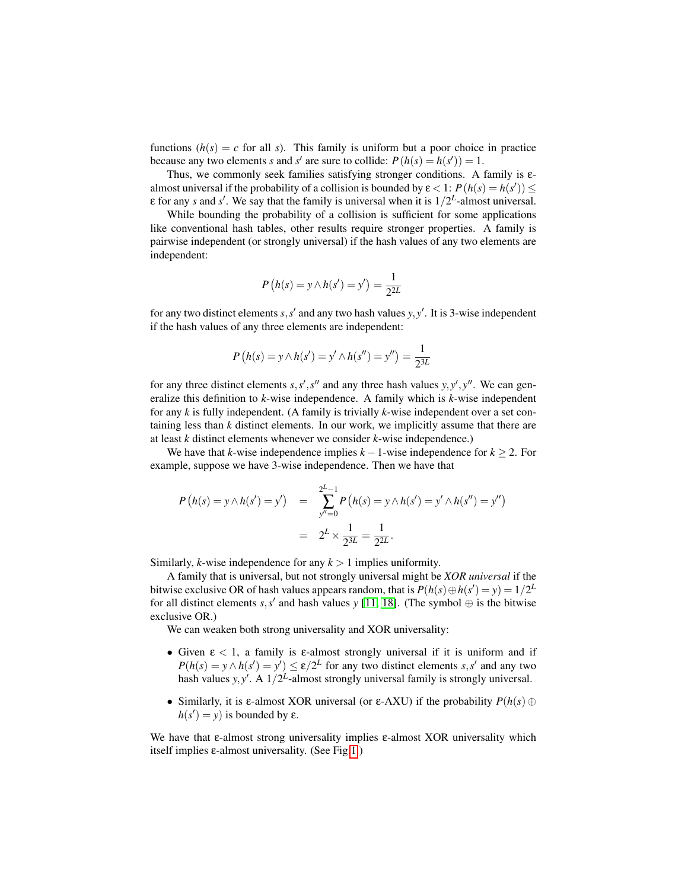functions  $(h(s) = c$  for all *s*). This family is uniform but a poor choice in practice because any two elements *s* and *s'* are sure to collide:  $P(h(s) = h(s')) = 1$ .

Thus, we commonly seek families satisfying stronger conditions. A family is εalmost universal if the probability of a collision is bounded by  $\varepsilon < 1$ :  $P(h(s) = h(s')) \le$  $\varepsilon$  for any *s* and *s'*. We say that the family is universal when it is  $1/2^L$ -almost universal.

While bounding the probability of a collision is sufficient for some applications like conventional hash tables, other results require stronger properties. A family is pairwise independent (or strongly universal) if the hash values of any two elements are independent:

$$
P(h(s) = y \land h(s') = y') = \frac{1}{2^{2L}}
$$

for any two distinct elements  $s, s'$  and any two hash values  $y, y'$ . It is 3-wise independent if the hash values of any three elements are independent:

$$
P(h(s) = y \land h(s') = y' \land h(s'') = y'') = \frac{1}{2^{3L}}
$$

for any three distinct elements  $s, s', s''$  and any three hash values  $y, y', y''$ . We can generalize this definition to *k*-wise independence. A family which is *k*-wise independent for any *k* is fully independent. (A family is trivially *k*-wise independent over a set containing less than *k* distinct elements. In our work, we implicitly assume that there are at least *k* distinct elements whenever we consider *k*-wise independence.)

We have that *k*-wise independence implies *k* −1-wise independence for *k* ≥ 2. For example, suppose we have 3-wise independence. Then we have that

$$
P(h(s) = y \land h(s') = y') = \sum_{y''=0}^{2^L-1} P(h(s) = y \land h(s') = y' \land h(s'') = y'')
$$
  
=  $2^L \times \frac{1}{2^{3L}} = \frac{1}{2^{2L}}.$ 

Similarly, *k*-wise independence for any  $k > 1$  implies uniformity.

A family that is universal, but not strongly universal might be *XOR universal* if the bitwise exclusive OR of hash values appears random, that is  $P(h(s) \oplus h(s') = y) = 1/2^L$ for all distinct elements  $s, s'$  and hash values *y* [\[11,](#page-19-9) [18\]](#page-19-8). (The symbol  $\oplus$  is the bitwise exclusive OR.)

We can weaken both strong universality and XOR universality:

- Given  $\epsilon$  < 1, a family is  $\epsilon$ -almost strongly universal if it is uniform and if  $P(h(s) = y \land h(s') = y') \le \varepsilon/2^L$  for any two distinct elements *s*,*s'* and any two hash values  $y, y'$ . A  $1/2^L$ -almost strongly universal family is strongly universal.
- Similarly, it is  $\varepsilon$ -almost XOR universal (or  $\varepsilon$ -AXU) if the probability  $P(h(s) \oplus$  $h(s') = y$  is bounded by  $\varepsilon$ .

We have that  $\varepsilon$ -almost strong universality implies  $\varepsilon$ -almost XOR universality which itself implies  $\varepsilon$ -almost universality. (See Fig[.1.](#page-3-1))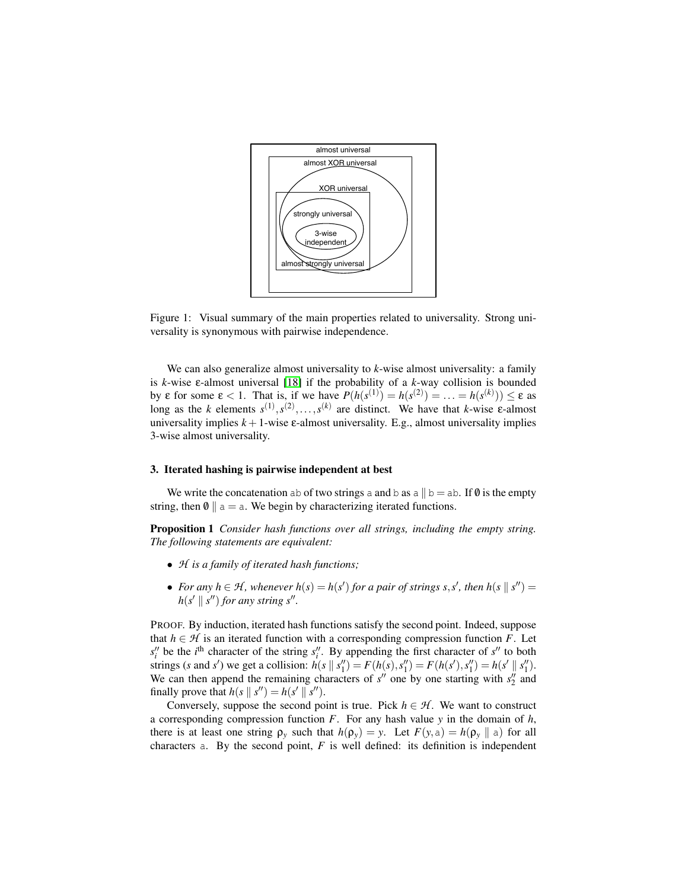<span id="page-3-1"></span>

Figure 1: Visual summary of the main properties related to universality. Strong universality is synonymous with pairwise independence.

We can also generalize almost universality to *k*-wise almost universality: a family is *k*-wise ε-almost universal [\[18\]](#page-19-8) if the probability of a *k*-way collision is bounded by  $\varepsilon$  for some  $\varepsilon < 1$ . That is, if we have  $P(h(s^{(1)}) = h(s^{(2)}) = \ldots = h(s^{(k)})) \le \varepsilon$  as long as the *k* elements  $s^{(1)}, s^{(2)}, \ldots, s^{(k)}$  are distinct. We have that *k*-wise  $\varepsilon$ -almost universality implies  $k+1$ -wise  $\varepsilon$ -almost universality. E.g., almost universality implies 3-wise almost universality.

#### <span id="page-3-0"></span>3. Iterated hashing is pairwise independent at best

We write the concatenation ab of two strings a and b as a  $\parallel$  b = ab. If 0 is the empty string, then  $\emptyset$  || a = a. We begin by characterizing iterated functions.

<span id="page-3-2"></span>Proposition 1 *Consider hash functions over all strings, including the empty string. The following statements are equivalent:*

- *H is a family of iterated hash functions;*
- *For any*  $h \in \mathcal{H}$ , whenever  $h(s) = h(s')$  for a pair of strings s, s', then  $h(s \mid s'') =$  $h(s' \parallel s'')$  *for any string s''.*

PROOF. By induction, iterated hash functions satisfy the second point. Indeed, suppose that  $h \in \mathcal{H}$  is an iterated function with a corresponding compression function *F*. Let  $s_i''$  be the *i*<sup>th</sup> character of the string  $s_i''$ . By appending the first character of  $s''$  to both strings (s and s') we get a collision:  $h(s || s''_1) = F(h(s), s''_1) = F(h(s'), s''_1) = h(s' || s''_1)$ . We can then append the remaining characters of  $s''$  one by one starting with  $s''_2$  and finally prove that  $h(s \parallel s'') = h(s' \parallel s'')$ .

Conversely, suppose the second point is true. Pick  $h \in \mathcal{H}$ . We want to construct a corresponding compression function *F*. For any hash value *y* in the domain of *h*, there is at least one string  $\rho_v$  such that  $h(\rho_v) = y$ . Let  $F(y, a) = h(\rho_v || a)$  for all characters a. By the second point,  $F$  is well defined: its definition is independent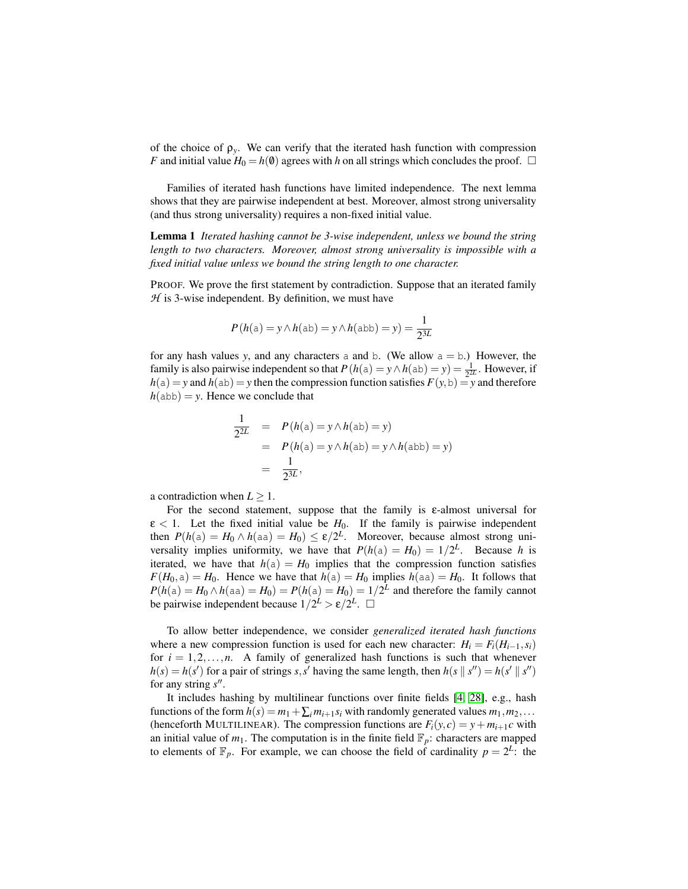of the choice of  $\rho_y$ . We can verify that the iterated hash function with compression *F* and initial value  $H_0 = h(0)$  agrees with *h* on all strings which concludes the proof.  $\Box$ 

Families of iterated hash functions have limited independence. The next lemma shows that they are pairwise independent at best. Moreover, almost strong universality (and thus strong universality) requires a non-fixed initial value.

Lemma 1 *Iterated hashing cannot be 3-wise independent, unless we bound the string length to two characters. Moreover, almost strong universality is impossible with a fixed initial value unless we bound the string length to one character.*

PROOF. We prove the first statement by contradiction. Suppose that an iterated family *H* is 3-wise independent. By definition, we must have

$$
P(h(a) = y \land h(ab) = y \land h(abb) = y) = \frac{1}{2^{3L}}
$$

for any hash values *y*, and any characters a and b. (We allow  $a = b$ .) However, the family is also pairwise independent so that  $P(h(a) = y \wedge h(ab) = y) = \frac{1}{2^{2L}}$ . However, if  $h(a) = y$  and  $h(ab) = y$  then the compression function satisfies  $F(y, b) = y$  and therefore  $h$ (abb) = *y*. Hence we conclude that

$$
\frac{1}{2^{2L}} = P(h(a) = y \land h(ab) = y)
$$
  
=  $P(h(a) = y \land h(ab) = y \land h(abb) = y)$   
=  $\frac{1}{2^{3L}}$ ,

a contradiction when  $L \geq 1$ .

For the second statement, suppose that the family is  $\varepsilon$ -almost universal for  $\epsilon$  < 1. Let the fixed initial value be  $H_0$ . If the family is pairwise independent then  $P(h(a) = H_0 \wedge h(aa) = H_0) \le \varepsilon/2^L$ . Moreover, because almost strong universality implies uniformity, we have that  $P(h(a) = H_0) = 1/2^L$ . Because *h* is iterated, we have that  $h(a) = H_0$  implies that the compression function satisfies  $F(H_0, a) = H_0$ . Hence we have that  $h(a) = H_0$  implies  $h(aa) = H_0$ . It follows that  $P(h(a) = H_0 \wedge h(aa) = H_0) = P(h(a) = H_0) = 1/2^L$  and therefore the family cannot be pairwise independent because  $1/2^{\frac{L}{2}} > \varepsilon/2^L$ .

To allow better independence, we consider *generalized iterated hash functions* where a new compression function is used for each new character:  $H_i = F_i(H_{i-1}, s_i)$ for  $i = 1, 2, \ldots, n$ . A family of generalized hash functions is such that whenever  $h(s) = h(s')$  for a pair of strings *s*,*s*' having the same length, then  $h(s \mid s'') = h(s' \mid s'')$ for any string  $s''$ .

It includes hashing by multilinear functions over finite fields [\[4,](#page-19-4) [28\]](#page-20-9), e.g., hash functions of the form  $h(s) = m_1 + \sum_i m_{i+1} s_i$  with randomly generated values  $m_1, m_2, \ldots$ (henceforth MULTILINEAR). The compression functions are  $F_i(y, c) = y + m_{i+1}c$  with an initial value of  $m_1$ . The computation is in the finite field  $\mathbb{F}_p$ : characters are mapped to elements of  $\mathbb{F}_p$ . For example, we can choose the field of cardinality  $p = 2^L$ : the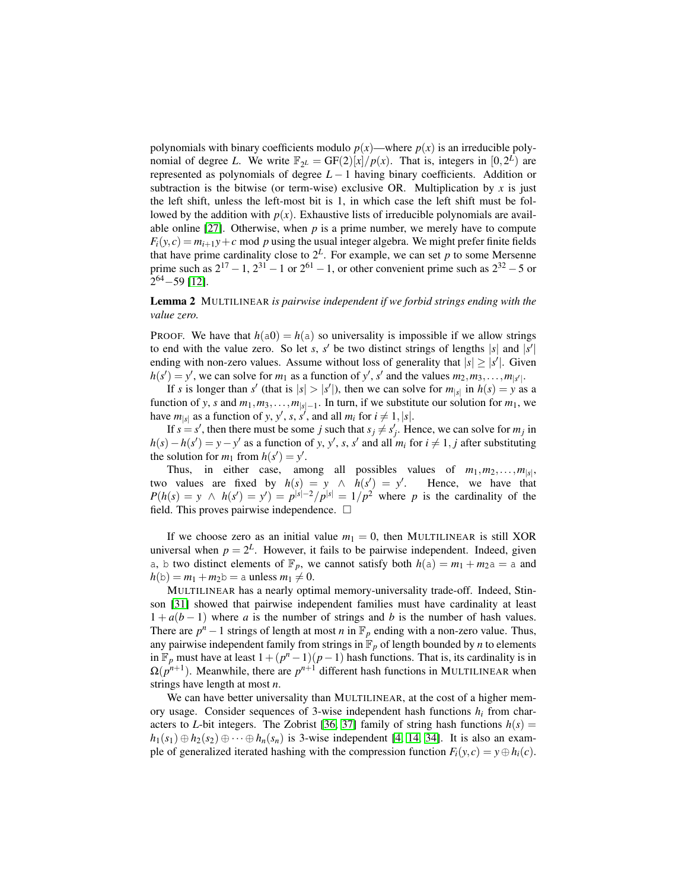polynomials with binary coefficients modulo  $p(x)$ —where  $p(x)$  is an irreducible polynomial of degree *L*. We write  $\mathbb{F}_{2^L} = \frac{GF(2)[x]}{p(x)}$ . That is, integers in  $[0, 2^L)$  are represented as polynomials of degree *L* − 1 having binary coefficients. Addition or subtraction is the bitwise (or term-wise) exclusive OR. Multiplication by  $x$  is just the left shift, unless the left-most bit is 1, in which case the left shift must be followed by the addition with  $p(x)$ . Exhaustive lists of irreducible polynomials are available online  $[27]$ . Otherwise, when  $p$  is a prime number, we merely have to compute  $F_i(y, c) = m_{i+1}y + c$  mod *p* using the usual integer algebra. We might prefer finite fields that have prime cardinality close to  $2^L$ . For example, we can set p to some Mersenne prime such as  $2^{17} - 1$ ,  $2^{31} - 1$  or  $2^{61} - 1$ , or other convenient prime such as  $2^{32} - 5$  or 2 <sup>64</sup>−59 [\[12\]](#page-19-6).

# Lemma 2 MULTILINEAR *is pairwise independent if we forbid strings ending with the value zero.*

PROOF. We have that  $h(a0) = h(a)$  so universality is impossible if we allow strings to end with the value zero. So let *s*,  $s'$  be two distinct strings of lengths  $|s|$  and  $|s'|$ ending with non-zero values. Assume without loss of generality that  $|s| \ge |s'|$ . Given  $h(s') = y'$ , we can solve for  $m_1$  as a function of  $y'$ ,  $s'$  and the values  $m_2, m_3, \ldots, m_{|s'|}$ .

If *s* is longer than *s'* (that is  $|s| > |s'|$ ), then we can solve for  $m_{|s|}$  in  $h(s) = y$  as a function of *y*, *s* and  $m_1, m_3, \ldots, m_{|s|-1}$ . In turn, if we substitute our solution for  $m_1$ , we have  $m_{|s|}$  as a function of *y*, *y*<sup>'</sup>, *s*, *s*<sup>'</sup>, and all  $m_i$  for  $i \neq 1, |s|$ .

If  $s = s'$ , then there must be some *j* such that  $s_j \neq s'_j$ . Hence, we can solve for  $m_j$  in *h*(*s*) − *h*(*s*<sup> $\prime$ </sup>) = *y* − *y*<sup> $\prime$ </sup> as a function of *y*, *y*<sup> $\prime$ </sup>, *s*, *s*<sup> $\prime$ </sup> and all *m*<sub>*i*</sub> for *i*  $\neq$  1, *j* after substituting the solution for  $m_1$  from  $h(s') = y'$ .

Thus, in either case, among all possibles values of  $m_1, m_2, \ldots, m_{|s|}$ , two values are fixed by  $h(s) = y \land h(s') = y'$ . Hence, we have that  $P(h(s) = y \land h(s') = y') = p^{|s|-2}/p^{|s|} = 1/p^2$  where *p* is the cardinality of the field. This proves pairwise independence.  $\Box$ 

If we choose zero as an initial value  $m_1 = 0$ , then MULTILINEAR is still XOR universal when  $p = 2^L$ . However, it fails to be pairwise independent. Indeed, given a, b two distinct elements of  $\mathbb{F}_p$ , we cannot satisfy both  $h(a) = m_1 + m_2 a = a$  and  $h(b) = m_1 + m_2b = a$  unless  $m_1 \neq 0$ .

MULTILINEAR has a nearly optimal memory-universality trade-off. Indeed, Stinson [\[31\]](#page-20-8) showed that pairwise independent families must have cardinality at least  $1 + a(b - 1)$  where *a* is the number of strings and *b* is the number of hash values. There are  $p^n - 1$  strings of length at most *n* in  $\mathbb{F}_p$  ending with a non-zero value. Thus, any pairwise independent family from strings in  $\mathbb{F}_p$  of length bounded by *n* to elements in  $\mathbb{F}_p$  must have at least  $1 + (p^n - 1)(p - 1)$  hash functions. That is, its cardinality is in  $\Omega(p^{n+1})$ . Meanwhile, there are  $p^{n+1}$  different hash functions in MULTILINEAR when strings have length at most *n*.

We can have better universality than MULTILINEAR, at the cost of a higher memory usage. Consider sequences of 3-wise independent hash functions  $h_i$  from characters to *L*-bit integers. The Zobrist [\[36,](#page-21-0) [37\]](#page-21-1) family of string hash functions  $h(s)$  =  $h_1(s_1) \oplus h_2(s_2) \oplus \cdots \oplus h_n(s_n)$  is 3-wise independent [\[4,](#page-19-4) [14,](#page-19-10) [34\]](#page-20-11). It is also an example of generalized iterated hashing with the compression function  $F_i(y, c) = y \oplus h_i(c)$ .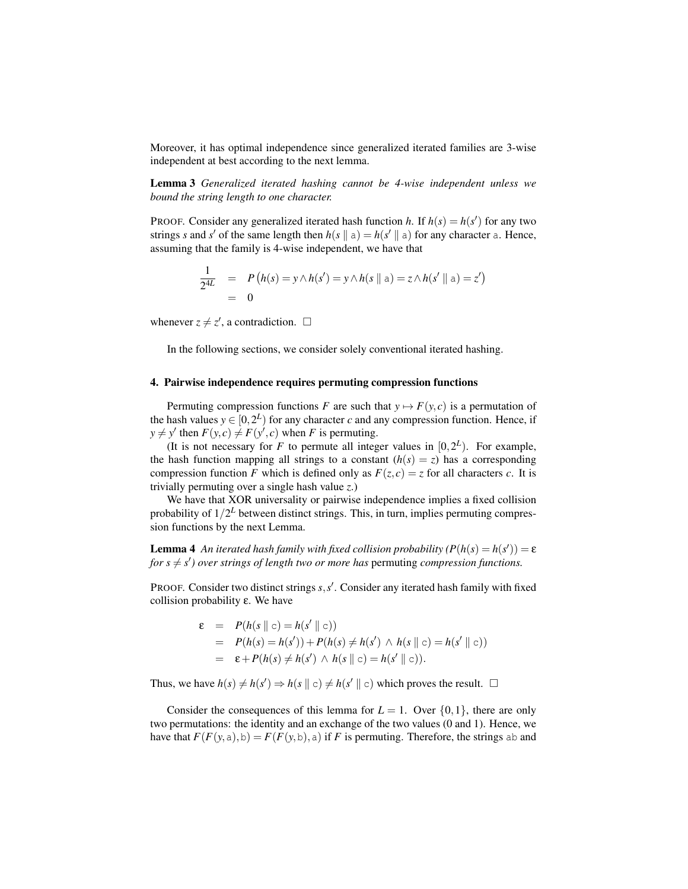Moreover, it has optimal independence since generalized iterated families are 3-wise independent at best according to the next lemma.

Lemma 3 *Generalized iterated hashing cannot be 4-wise independent unless we bound the string length to one character.*

PROOF. Consider any generalized iterated hash function *h*. If  $h(s) = h(s')$  for any two strings *s* and *s'* of the same length then  $h(s \parallel a) = h(s' \parallel a)$  for any character a. Hence, assuming that the family is 4-wise independent, we have that

$$
\frac{1}{2^{4L}} = P(h(s) = y \land h(s') = y \land h(s \parallel a) = z \land h(s' \parallel a) = z')
$$
  
= 0

whenever  $z \neq z'$ , a contradiction.  $\square$ 

In the following sections, we consider solely conventional iterated hashing.

### <span id="page-6-0"></span>4. Pairwise independence requires permuting compression functions

Permuting compression functions *F* are such that  $y \mapsto F(y, c)$  is a permutation of the hash values  $y \in [0, 2^L)$  for any character *c* and any compression function. Hence, if  $y \neq y'$  then  $F(y, c) \neq F(y', c)$  when *F* is permuting.

(It is not necessary for *F* to permute all integer values in  $[0, 2^L)$ . For example, the hash function mapping all strings to a constant  $(h(s) = z)$  has a corresponding compression function *F* which is defined only as  $F(z, c) = z$  for all characters *c*. It is trivially permuting over a single hash value *z*.)

We have that XOR universality or pairwise independence implies a fixed collision probability of  $1/2^L$  between distinct strings. This, in turn, implies permuting compression functions by the next Lemma.

<span id="page-6-1"></span>**Lemma 4** An iterated hash family with fixed collision probability  $(P(h(s) = h(s')) = \varepsilon$ for  $s \neq s'$ ) over strings of length two or more has permuting *compression functions.* 

PROOF. Consider two distinct strings  $s, s'$ . Consider any iterated hash family with fixed collision probability ε. We have

$$
\varepsilon = P(h(s \parallel c) = h(s' \parallel c))
$$
  
=  $P(h(s) = h(s')) + P(h(s) \neq h(s') \land h(s \parallel c) = h(s' \parallel c))$   
=  $\varepsilon + P(h(s) \neq h(s') \land h(s \parallel c) = h(s' \parallel c)).$ 

Thus, we have  $h(s) \neq h(s') \Rightarrow h(s \parallel c) \neq h(s' \parallel c)$  which proves the result.  $\Box$ 

Consider the consequences of this lemma for  $L = 1$ . Over  $\{0, 1\}$ , there are only two permutations: the identity and an exchange of the two values (0 and 1). Hence, we have that  $F(F(y, a), b) = F(F(y, b), a)$  if *F* is permuting. Therefore, the strings ab and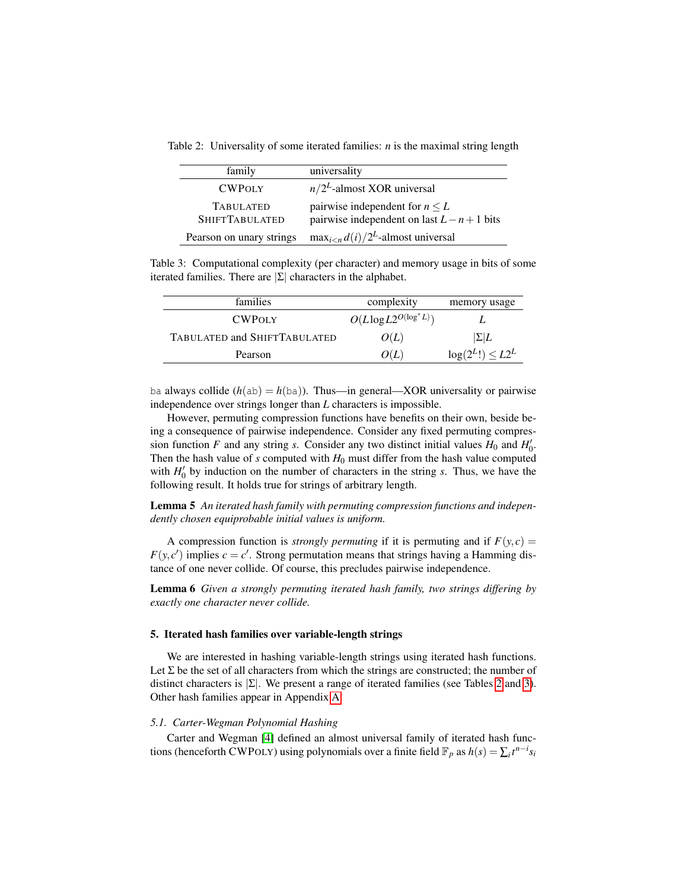<span id="page-7-0"></span>Table 2: Universality of some iterated families: *n* is the maximal string length

| family                                    | universality                                                                         |
|-------------------------------------------|--------------------------------------------------------------------------------------|
| <b>CWPOLY</b>                             | $n/2^L$ -almost XOR universal                                                        |
| <b>TABULATED</b><br><b>SHIFTTABULATED</b> | pairwise independent for $n \leq L$<br>pairwise independent on last $L - n + 1$ bits |
| Pearson on unary strings                  | $\max_{i\leq n} d(i)/2^L$ -almost universal                                          |

<span id="page-7-1"></span>Table 3: Computational complexity (per character) and memory usage in bits of some iterated families. There are  $|\Sigma|$  characters in the alphabet.

| families                     | complexity                    | memory usage          |
|------------------------------|-------------------------------|-----------------------|
| <b>CWPOLY</b>                | $O(L \log L 2^{O(\log^* L)})$ |                       |
| TABULATED and SHIFTTABULATED | O(L)                          | $ \Sigma L$           |
| Pearson                      | O(L)                          | $log(2^L!) \leq L2^L$ |

ba always collide  $(h(ab) = h(ba))$ . Thus—in general—XOR universality or pairwise independence over strings longer than *L* characters is impossible.

However, permuting compression functions have benefits on their own, beside being a consequence of pairwise independence. Consider any fixed permuting compression function *F* and any string *s*. Consider any two distinct initial values  $H_0$  and  $H'_0$ . Then the hash value of  $s$  computed with  $H_0$  must differ from the hash value computed with  $H'_0$  by induction on the number of characters in the string *s*. Thus, we have the following result. It holds true for strings of arbitrary length.

Lemma 5 *An iterated hash family with permuting compression functions and independently chosen equiprobable initial values is uniform.*

A compression function is *strongly permuting* if it is permuting and if  $F(y, c) =$  $F(y, c')$  implies  $c = c'$ . Strong permutation means that strings having a Hamming distance of one never collide. Of course, this precludes pairwise independence.

Lemma 6 *Given a strongly permuting iterated hash family, two strings differing by exactly one character never collide.*

# 5. Iterated hash families over variable-length strings

We are interested in hashing variable-length strings using iterated hash functions. Let  $\Sigma$  be the set of all characters from which the strings are constructed; the number of distinct characters is  $|\Sigma|$ . We present a range of iterated families (see Tables [2](#page-7-0) and [3\)](#page-7-1). Other hash families appear in Appendix [A.](#page-21-2)

### *5.1. Carter-Wegman Polynomial Hashing*

Carter and Wegman [\[4\]](#page-19-4) defined an almost universal family of iterated hash functions (henceforth CWPOLY) using polynomials over a finite field  $\mathbb{F}_p$  as  $h(s) = \sum_i t^{n-i} s_i$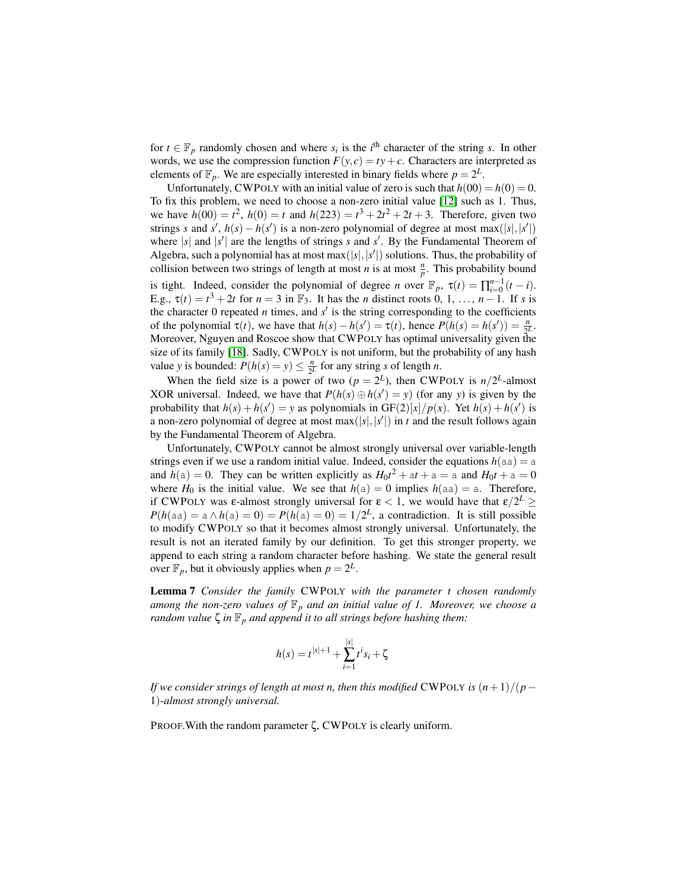for  $t \in \mathbb{F}_p$  randomly chosen and where  $s_i$  is the *i*<sup>th</sup> character of the string *s*. In other words, we use the compression function  $F(y, c) = ty + c$ . Characters are interpreted as elements of  $\mathbb{F}_p$ . We are especially interested in binary fields where  $p = 2^L$ .

Unfortunately, CWPOLY with an initial value of zero is such that  $h(00) = h(0) = 0$ . To fix this problem, we need to choose a non-zero initial value [\[12\]](#page-19-6) such as 1. Thus, we have  $h(00) = t^2$ ,  $h(0) = t$  and  $h(223) = t^3 + 2t^2 + 2t + 3$ . Therefore, given two strings *s* and *s'*,  $h(s) - h(s')$  is a non-zero polynomial of degree at most max(|s|,|s'|) where  $|s|$  and  $|s'|$  are the lengths of strings *s* and *s'*. By the Fundamental Theorem of Algebra, such a polynomial has at most max $(|s|, |s'|)$  solutions. Thus, the probability of collision between two strings of length at most *n* is at most  $\frac{n}{p}$ . This probability bound is tight. Indeed, consider the polynomial of degree *n* over  $\mathbb{F}_p$ ,  $\tau(t) = \prod_{i=0}^{n-1} (t - i)$ . E.g.,  $\tau(t) = t^3 + 2t$  for  $n = 3$  in  $\mathbb{F}_3$ . It has the *n* distinct roots 0, 1, ...,  $n-1$ . If *s* is the character 0 repeated  $n$  times, and  $s'$  is the string corresponding to the coefficients of the polynomial  $\tau(t)$ , we have that  $h(s) - h(s') = \tau(t)$ , hence  $P(h(s) = h(s')) = \frac{n}{2^L}$ . Moreover, Nguyen and Roscoe show that CWPOLY has optimal universality given the size of its family [\[18\]](#page-19-8). Sadly, CWPOLY is not uniform, but the probability of any hash value *y* is bounded:  $P(h(s) = y) \le \frac{n}{2l}$  $\frac{n}{2^L}$  for any string *s* of length *n*.

When the field size is a power of two  $(p = 2^L)$ , then CWPOLY is  $n/2^L$ -almost XOR universal. Indeed, we have that  $P(h(s) \oplus h(s') = y)$  (for any *y*) is given by the probability that  $h(s) + h(s') = y$  as polynomials in  $GF(2)[x]/p(x)$ . Yet  $h(s) + h(s')$  is a non-zero polynomial of degree at most max(|s|, |s'|) in *t* and the result follows again by the Fundamental Theorem of Algebra.

Unfortunately, CWPOLY cannot be almost strongly universal over variable-length strings even if we use a random initial value. Indeed, consider the equations  $h(aa) = a$ and  $h(a) = 0$ . They can be written explicitly as  $H_0t^2 + at + a = a$  and  $H_0t + a = 0$ where  $H_0$  is the initial value. We see that  $h(a) = 0$  implies  $h(aa) = a$ . Therefore, if CWPOLY was  $\varepsilon$ -almost strongly universal for  $\varepsilon < 1$ , we would have that  $\varepsilon/2^L \geq$  $P(h(aa) = a \wedge h(a) = 0) = P(h(a) = 0) = 1/2^L$ , a contradiction. It is still possible to modify CWPOLY so that it becomes almost strongly universal. Unfortunately, the result is not an iterated family by our definition. To get this stronger property, we append to each string a random character before hashing. We state the general result over  $\mathbb{F}_p$ , but it obviously applies when  $p = 2^L$ .

Lemma 7 *Consider the family* CWPOLY *with the parameter t chosen randomly among the non-zero values of*  $\mathbb{F}_p$  *and an initial value of 1. Moreover, we choose a random value*  $\zeta$  *in*  $\mathbb{F}_p$  *and append it to all strings before hashing them:* 

$$
h(s) = t^{|s|+1} + \sum_{i=1}^{|s|} t^i s_i + \zeta
$$

*If we consider strings of length at most n, then this modified* CWPOLY *is*  $(n+1)/(p-1)$ 1)*-almost strongly universal.*

PROOF.With the random parameter ζ, CWPOLY is clearly uniform.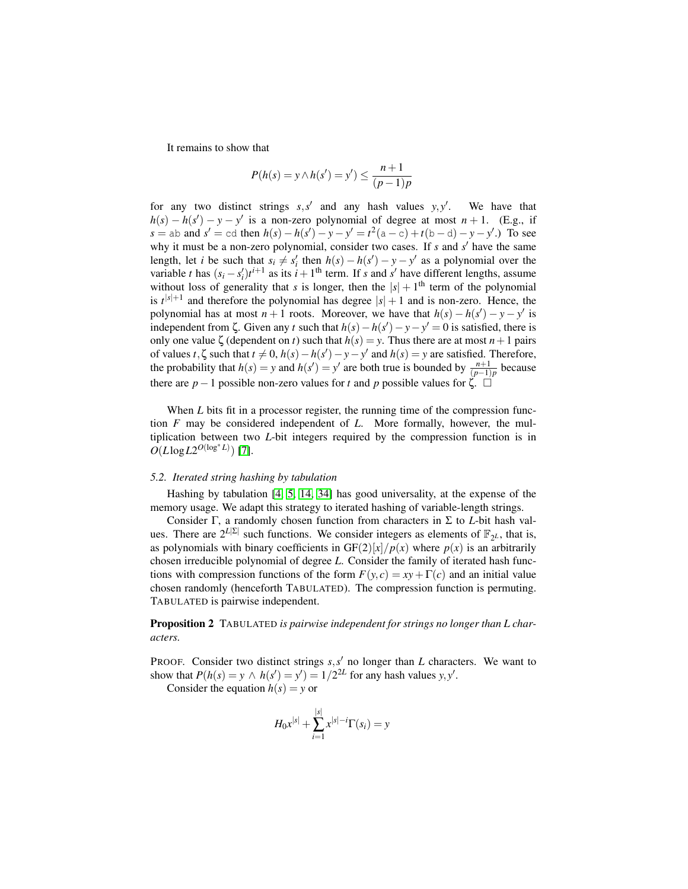It remains to show that

$$
P(h(s) = y \land h(s') = y') \le \frac{n+1}{(p-1)p}
$$

for any two distinct strings  $s, s'$  and any hash values  $y, y'$ . We have that  $h(s) - h(s') - y - y'$  is a non-zero polynomial of degree at most  $n + 1$ . (E.g., if  $s = ab$  and  $s' = cd$  then  $h(s) - h(s') - y - y' = t^2(a - c) + t(b - d) - y - y'$ .) To see why it must be a non-zero polynomial, consider two cases. If *s* and *s'* have the same length, let *i* be such that  $s_i \neq s'_i$  then  $h(s) - h(s') - y - y'$  as a polynomial over the variable *t* has  $(s_i - s'_i)t^{i+1}$  as its  $i + 1$ <sup>th</sup> term. If *s* and *s'* have different lengths, assume without loss of generality that *s* is longer, then the  $|s| + 1$ <sup>th</sup> term of the polynomial is  $t^{|s|+1}$  and therefore the polynomial has degree  $|s|+1$  and is non-zero. Hence, the polynomial has at most  $n + 1$  roots. Moreover, we have that  $h(s) - h(s') - y - y'$  is independent from  $\zeta$ . Given any *t* such that  $h(s) - h(s') - y - y' = 0$  is satisfied, there is only one value  $\zeta$  (dependent on *t*) such that  $h(s) = y$ . Thus there are at most  $n + 1$  pairs of values *t*, $\zeta$  such that  $t \neq 0$ ,  $h(s) - h(s') - y - y'$  and  $h(s) = y$  are satisfied. Therefore, the probability that  $h(s) = y$  and  $h(s') = y'$  are both true is bounded by  $\frac{n+1}{(p-1)p}$  because there are *p* − 1 possible non-zero values for *t* and *p* possible values for  $\zeta$ .  $\Box$ 

When *L* bits fit in a processor register, the running time of the compression function *F* may be considered independent of *L*. More formally, however, the multiplication between two *L*-bit integers required by the compression function is in  $O(L \log L2^{O(\log^* L)})$  [\[7\]](#page-19-11).

#### <span id="page-9-0"></span>*5.2. Iterated string hashing by tabulation*

Hashing by tabulation [\[4,](#page-19-4) [5,](#page-19-12) [14,](#page-19-10) [34\]](#page-20-11) has good universality, at the expense of the memory usage. We adapt this strategy to iterated hashing of variable-length strings.

Consider Γ, a randomly chosen function from characters in Σ to *L*-bit hash values. There are  $2^{L|\Sigma|}$  such functions. We consider integers as elements of  $\mathbb{F}_{2^L}$ , that is, as polynomials with binary coefficients in  $GF(2)[x]/p(x)$  where  $p(x)$  is an arbitrarily chosen irreducible polynomial of degree *L*. Consider the family of iterated hash functions with compression functions of the form  $F(y, c) = xy + \Gamma(c)$  and an initial value chosen randomly (henceforth TABULATED). The compression function is permuting. TABULATED is pairwise independent.

<span id="page-9-1"></span>Proposition 2 TABULATED *is pairwise independent for strings no longer than L characters.*

PROOF. Consider two distinct strings  $s, s'$  no longer than  $L$  characters. We want to show that  $P(h(s) = y \land h(s') = y') = 1/2^{2L}$  for any hash values *y*, *y'*.

Consider the equation  $h(s) = y$  or

$$
H_0 x^{|s|} + \sum_{i=1}^{|s|} x^{|s|-i} \Gamma(s_i) = y
$$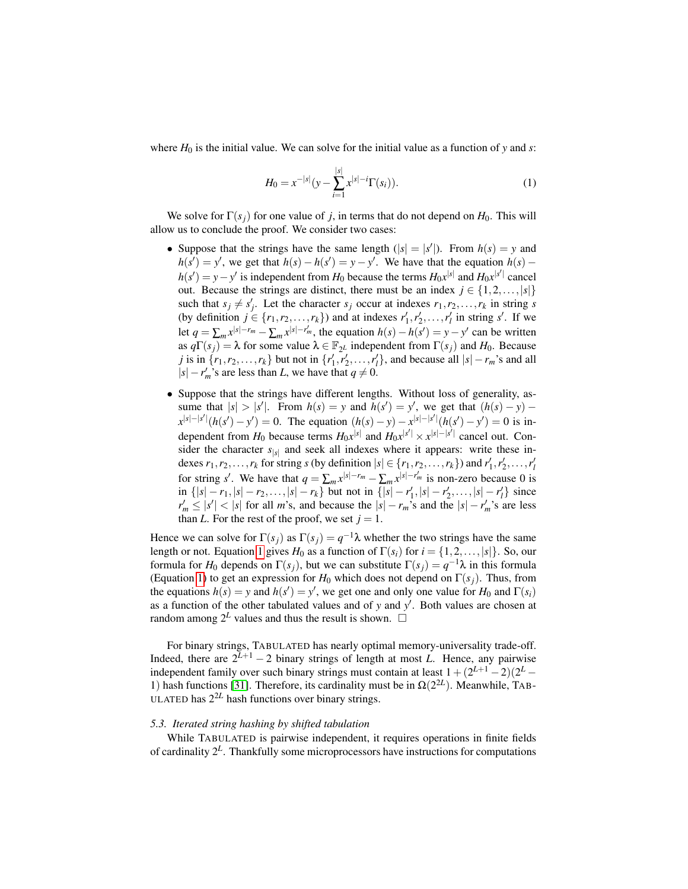where  $H_0$  is the initial value. We can solve for the initial value as a function of *y* and *s*:

<span id="page-10-0"></span>
$$
H_0 = x^{-|s|} \left( y - \sum_{i=1}^{|s|} x^{|s|-i} \Gamma(s_i) \right). \tag{1}
$$

We solve for  $\Gamma(s_i)$  for one value of *j*, in terms that do not depend on  $H_0$ . This will allow us to conclude the proof. We consider two cases:

- Suppose that the strings have the same length  $(|s| = |s'|)$ . From  $h(s) = y$  and  $h(s') = y'$ , we get that  $h(s) - h(s') = y - y'$ . We have that the equation  $h(s)$  $h(s') = y - y'$  is independent from *H*<sub>0</sub> because the terms *H*<sub>0</sub>*x*<sup>|*s*|</sup> and *H*<sub>0</sub>*x*<sup>|*s*<sup>|</sup></sup> cancel out. Because the strings are distinct, there must be an index  $j \in \{1, 2, ..., |s|\}$ such that  $s_j \neq s'_j$ . Let the character  $s_j$  occur at indexes  $r_1, r_2, \ldots, r_k$  in string *s* (by definition  $j \in \{r_1, r_2, \ldots, r_k\}$ ) and at indexes  $r'_1, r'_2, \ldots, r'_l$  in string *s'*. If we let  $q = \sum_m x^{|s|-r_m} - \sum_m x^{|s|-r'_m}$ , the equation  $h(s) - h(s') = y - y'$  can be written as  $q\Gamma(s_j) = \lambda$  for some value  $\lambda \in \mathbb{F}_{2^L}$  independent from  $\Gamma(s_j)$  and  $H_0$ . Because *j* is in  $\{r_1, r_2, \ldots, r_k\}$  but not in  $\{r'_1, r'_2, \ldots, r'_l\}$ , and because all  $|s| - r_m$ 's and all  $|s| - r'_m$ 's are less than *L*, we have that  $q \neq 0$ .
- Suppose that the strings have different lengths. Without loss of generality, assume that  $|s| > |s'|$ . From  $h(s) = y$  and  $h(s') = y'$ , we get that  $(h(s) - y)$  $x^{|s|-|s'|}(h(s') - y') = 0$ . The equation  $(h(s) - y) - x^{|s|-|s'|}(h(s') - y') = 0$  is independent from  $H_0$  because terms  $H_0x^{|s|}$  and  $H_0x^{|s'|} \times x^{|s|-|s'|}$  cancel out. Consider the character  $s_{|s|}$  and seek all indexes where it appears: write these indexes  $r_1, r_2, \ldots, r_k$  for string *s* (by definition  $|s| \in \{r_1, r_2, \ldots, r_k\}$ ) and  $r'_1, r'_2, \ldots, r'_l$ for string *s'*. We have that  $q = \sum_m x^{|s|-r_m} - \sum_m x^{|s|-r'_m}$  is non-zero because 0 is  $\inf \{|s| - r_1, |s| - r_2, \ldots, |s| - r_k\}$  but not in  $\{|s| - r'_1, |s| - r'_2, \ldots, |s| - r'_l\}$  since  $r'_m \leq |s'| < |s|$  for all *m*'s, and because the  $|s| - r_m$ 's and the  $|s| - r'_m$ 's are less than *L*. For the rest of the proof, we set  $j = 1$ .

Hence we can solve for  $\Gamma(s_j)$  as  $\Gamma(s_j) = q^{-1}\lambda$  whether the two strings have the same length or not. Equation [1](#page-10-0) gives  $H_0$  as a function of  $\Gamma(s_i)$  for  $i = \{1, 2, ..., |s|\}$ . So, our formula for  $H_0$  depends on  $\Gamma(s_j)$ , but we can substitute  $\Gamma(s_j) = q^{-1}\lambda$  in this formula (Equation [1\)](#page-10-0) to get an expression for  $H_0$  which does not depend on  $\Gamma(s_i)$ . Thus, from the equations  $h(s) = y$  and  $h(s') = y'$ , we get one and only one value for  $H_0$  and  $\Gamma(s_i)$ as a function of the other tabulated values and of *y* and *y'*. Both values are chosen at random among  $2^L$  values and thus the result is shown.  $\Box$ 

For binary strings, TABULATED has nearly optimal memory-universality trade-off. Indeed, there are  $2^{L+1} - 2$  binary strings of length at most *L*. Hence, any pairwise independent family over such binary strings must contain at least  $1 + (2^{L+1} - 2)(2^L -$ 1) hash functions [\[31\]](#page-20-8). Therefore, its cardinality must be in  $\Omega(2^{2L})$ . Meanwhile, TAB-ULATED has  $2^{2L}$  hash functions over binary strings.

## *5.3. Iterated string hashing by shifted tabulation*

While TABULATED is pairwise independent, it requires operations in finite fields of cardinality 2*<sup>L</sup>* . Thankfully some microprocessors have instructions for computations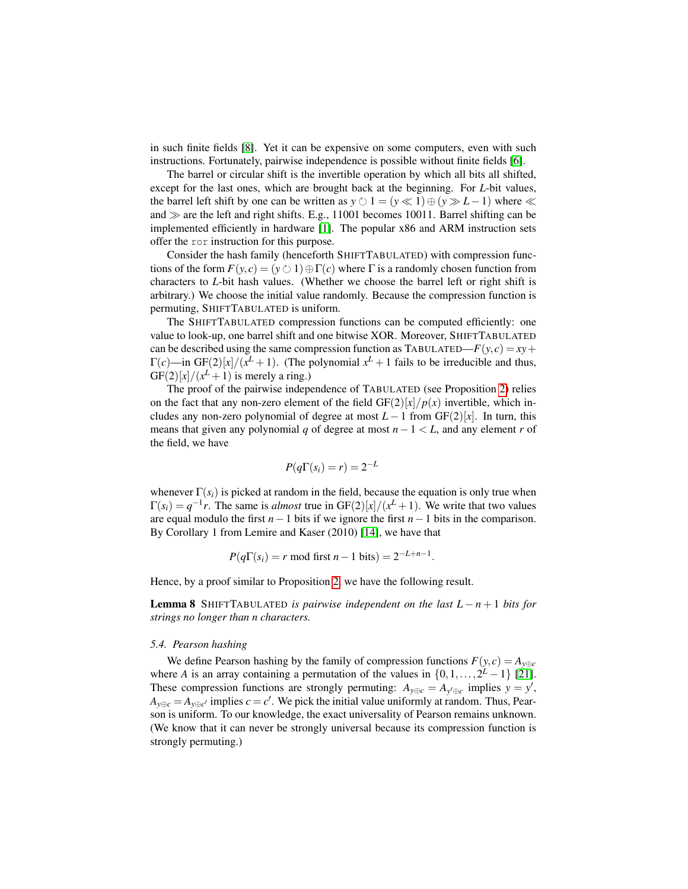in such finite fields [\[8\]](#page-19-13). Yet it can be expensive on some computers, even with such instructions. Fortunately, pairwise independence is possible without finite fields [\[6\]](#page-19-14).

The barrel or circular shift is the invertible operation by which all bits all shifted, except for the last ones, which are brought back at the beginning. For *L*-bit values, the barrel left shift by one can be written as  $y \circlearrowright 1 = (y \ll 1) \oplus (y \gg L-1)$  where  $\ll$ and  $\gg$  are the left and right shifts. E.g., 11001 becomes 10011. Barrel shifting can be implemented efficiently in hardware [\[1\]](#page-18-0). The popular x86 and ARM instruction sets offer the ror instruction for this purpose.

Consider the hash family (henceforth SHIFTTABULATED) with compression functions of the form  $F(y, c) = (y \circ 1) \oplus \Gamma(c)$  where  $\Gamma$  is a randomly chosen function from characters to *L*-bit hash values. (Whether we choose the barrel left or right shift is arbitrary.) We choose the initial value randomly. Because the compression function is permuting, SHIFTTABULATED is uniform.

The SHIFTTABULATED compression functions can be computed efficiently: one value to look-up, one barrel shift and one bitwise XOR. Moreover, SHIFTTABULATED can be described using the same compression function as TABULATED— $F(y, c) = xy +$  $\Gamma(c)$ —in GF(2)[x]/(x<sup>L</sup> + 1). (The polynomial  $x^L + 1$  fails to be irreducible and thus,  $GF(2)[x]/(x^L + 1)$  is merely a ring.)

The proof of the pairwise independence of TABULATED (see Proposition [2\)](#page-9-1) relies on the fact that any non-zero element of the field  $GF(2)[x]/p(x)$  invertible, which includes any non-zero polynomial of degree at most  $L-1$  from  $GF(2)[x]$ . In turn, this means that given any polynomial *q* of degree at most *n*−1 < *L*, and any element *r* of the field, we have

$$
P(q\Gamma(s_i)=r)=2^{-L}
$$

whenever  $\Gamma(s_i)$  is picked at random in the field, because the equation is only true when  $\Gamma(s_i) = q^{-1}r$ . The same is *almost* true in GF(2)[*x*]/(*x*<sup>*L*</sup> + 1). We write that two values are equal modulo the first *n*−1 bits if we ignore the first *n*−1 bits in the comparison. By Corollary 1 from Lemire and Kaser (2010) [\[14\]](#page-19-10), we have that

$$
P(q\Gamma(s_i) = r \mod \text{first } n-1 \text{ bits}) = 2^{-L+n-1}.
$$

Hence, by a proof similar to Proposition [2,](#page-9-1) we have the following result.

**Lemma 8** SHIFTTABULATED *is pairwise independent on the last*  $L - n + 1$  *bits for strings no longer than n characters.*

#### <span id="page-11-0"></span>*5.4. Pearson hashing*

We define Pearson hashing by the family of compression functions  $F(y, c) = A_{y \oplus c}$ where *A* is an array containing a permutation of the values in  $\{0, 1, \ldots, 2^L - 1\}$  [\[21\]](#page-20-5). These compression functions are strongly permuting:  $A_{y \oplus c} = A_{y' \oplus c}$  implies  $y = y'$ ,  $A_{y \oplus c} = A_{y \oplus c'}$  implies  $c = c'$ . We pick the initial value uniformly at random. Thus, Pearson is uniform. To our knowledge, the exact universality of Pearson remains unknown. (We know that it can never be strongly universal because its compression function is strongly permuting.)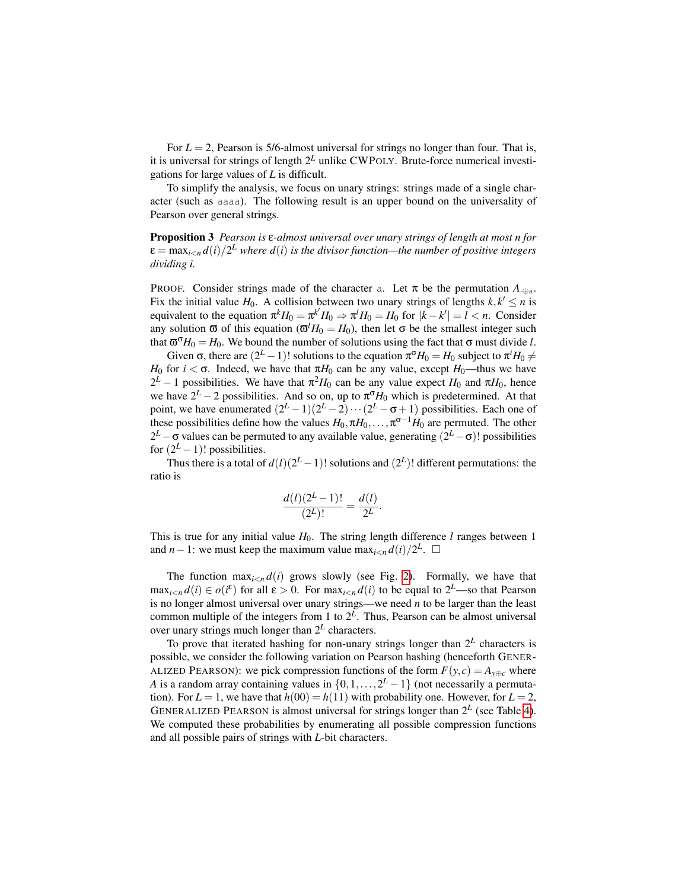For  $L = 2$ , Pearson is 5/6-almost universal for strings no longer than four. That is, it is universal for strings of length  $2^L$  unlike CWPOLY. Brute-force numerical investigations for large values of *L* is difficult.

To simplify the analysis, we focus on unary strings: strings made of a single character (such as aaaa). The following result is an upper bound on the universality of Pearson over general strings.

Proposition 3 *Pearson is* ε*-almost universal over unary strings of length at most n for*  $\varepsilon = \max_{i\le n} d(i)/2^L$  where  $d(i)$  is the divisor function—the number of positive integers *dividing i.*

PROOF. Consider strings made of the character a. Let  $\pi$  be the permutation  $A_{\text{max}}$ . Fix the initial value  $H_0$ . A collision between two unary strings of lengths  $k, k' \leq n$  is equivalent to the equation  $\pi^k H_0 = \pi^{k'} H_0 \Rightarrow \pi^l H_0 = H_0$  for  $|k - k'| = l < n$ . Consider any solution  $\bar{\omega}$  of this equation ( $\bar{\omega}^l H_0 = H_0$ ), then let  $\sigma$  be the smallest integer such that  $\sigma^{\sigma}H_0 = H_0$ . We bound the number of solutions using the fact that  $\sigma$  must divide *l*.

Given  $\sigma$ , there are  $(2^L - 1)!$  solutions to the equation  $\pi^{\sigma}H_0 = H_0$  subject to  $\pi^i H_0 \neq$ *H*<sup>0</sup> for *i* <  $\sigma$ . Indeed, we have that  $\pi H_0$  can be any value, except *H*<sup>0</sup>—thus we have  $2<sup>L</sup> - 1$  possibilities. We have that  $π<sup>2</sup>H<sub>0</sub>$  can be any value expect  $H<sub>0</sub>$  and  $πH<sub>0</sub>$ , hence we have  $2^L - 2$  possibilities. And so on, up to  $\pi^{\sigma}H_0$  which is predetermined. At that point, we have enumerated  $(2^L - 1)(2^L - 2) \cdots (2^L - \sigma + 1)$  possibilities. Each one of these possibilities define how the values  $H_0, \pi H_0, \ldots, \pi^{\sigma-1} H_0$  are permuted. The other 2<sup>L</sup> − σ values can be permuted to any available value, generating (2<sup>L</sup> − σ)! possibilities for  $(2^L - 1)!$  possibilities.

Thus there is a total of  $d(l)(2^L - 1)!$  solutions and  $(2^L)!$  different permutations: the ratio is

$$
\frac{d(l)(2^L-1)!}{(2^L)!} = \frac{d(l)}{2^L}.
$$

This is true for any initial value  $H_0$ . The string length difference *l* ranges between 1 and *n* − 1: we must keep the maximum value  $\max_{i \leq n} d(i)/2^L$ . □

The function  $\max_{i \leq n} d(i)$  grows slowly (see Fig. [2\)](#page-13-1). Formally, we have that  $\max_{i \leq n} d(i) \in o(i^{\varepsilon})$  for all  $\varepsilon > 0$ . For  $\max_{i \leq n} d(i)$  to be equal to  $2^{\mathcal{L}}$ —so that Pearson is no longer almost universal over unary strings—we need *n* to be larger than the least common multiple of the integers from 1 to  $2^L$ . Thus, Pearson can be almost universal over unary strings much longer than 2*<sup>L</sup>* characters.

To prove that iterated hashing for non-unary strings longer than 2*<sup>L</sup>* characters is possible, we consider the following variation on Pearson hashing (henceforth GENER-ALIZED PEARSON): we pick compression functions of the form  $F(y, c) = A_{y \oplus c}$  where *A* is a random array containing values in  $\{0, 1, \ldots, 2^L - 1\}$  (not necessarily a permutation). For  $L = 1$ , we have that  $h(00) = h(11)$  with probability one. However, for  $L = 2$ , GENERALIZED PEARSON is almost universal for strings longer than  $2^L$  (see Table [4\)](#page-14-0). We computed these probabilities by enumerating all possible compression functions and all possible pairs of strings with *L*-bit characters.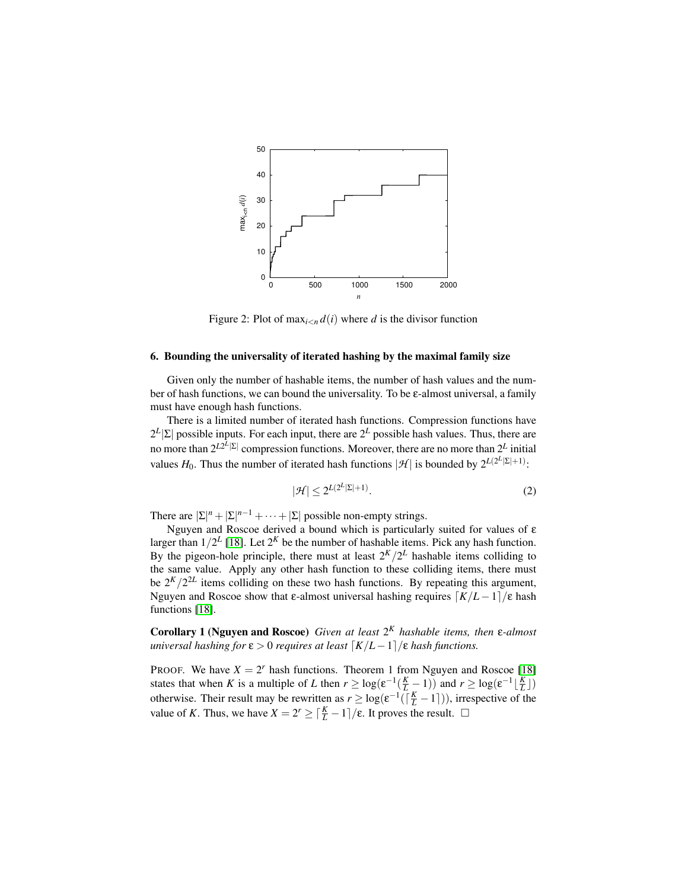<span id="page-13-1"></span>

Figure 2: Plot of  $\max_{i \leq n} d(i)$  where *d* is the divisor function

#### <span id="page-13-0"></span>6. Bounding the universality of iterated hashing by the maximal family size

Given only the number of hashable items, the number of hash values and the number of hash functions, we can bound the universality. To be ε-almost universal, a family must have enough hash functions.

There is a limited number of iterated hash functions. Compression functions have  $2^L|\Sigma|$  possible inputs. For each input, there are  $2^L$  possible hash values. Thus, there are no more than  $2^{L2^{L}|\Sigma|}$  compression functions. Moreover, there are no more than  $2^{L}$  initial values  $H_0$ . Thus the number of iterated hash functions  $|\mathcal{H}|$  is bounded by  $2^{L(2^L|\Sigma|+1)}$ :

<span id="page-13-2"></span>
$$
|\mathcal{H}| \le 2^{L(2^L|\Sigma|+1)}.
$$
\n<sup>(2)</sup>

There are  $|\Sigma|^n + |\Sigma|^{n-1} + \cdots + |\Sigma|$  possible non-empty strings.

Nguyen and Roscoe derived a bound which is particularly suited for values of ε larger than  $1/2^L$  [\[18\]](#page-19-8). Let  $2^K$  be the number of hashable items. Pick any hash function. By the pigeon-hole principle, there must at least  $2^{K}/2^{L}$  hashable items colliding to the same value. Apply any other hash function to these colliding items, there must be  $2^{K}/2^{2L}$  items colliding on these two hash functions. By repeating this argument, Nguyen and Roscoe show that ε-almost universal hashing requires  $\left\lceil K/L - 1 \right\rceil / \varepsilon$  hash functions [\[18\]](#page-19-8).

<span id="page-13-3"></span>Corollary 1 (Nguyen and Roscoe) *Given at least* 2 *<sup>K</sup> hashable items, then* ε*-almost universal hashing for*  $\varepsilon > 0$  *requires at least*  $\lceil K/L-1 \rceil$ / $\varepsilon$  *hash functions.* 

PROOF. We have  $X = 2^r$  hash functions. Theorem 1 from Nguyen and Roscoe [\[18\]](#page-19-8) states that when *K* is a multiple of *L* then  $r \geq \log(e^{-1}(\frac{K}{L}-1))$  and  $r \geq \log(e^{-1}(\frac{K}{L}))$ otherwise. Their result may be rewritten as  $r \geq \log(\varepsilon^{-1}(\lceil \frac{K}{L} - 1 \rceil))$ , irrespective of the value of *K*. Thus, we have *X* =  $2^r$  ≥  $\lceil \frac{K}{L} - 1 \rceil$ /ε. It proves the result.  $\Box$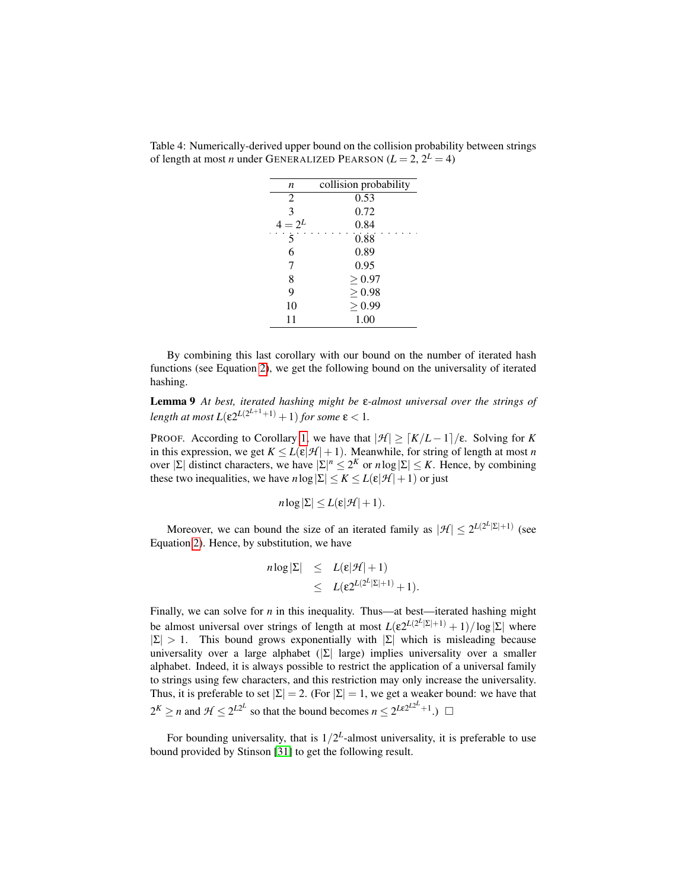| n              | collision probability |  |
|----------------|-----------------------|--|
| $\overline{2}$ | 0.53                  |  |
| 3              | 0.72                  |  |
| $4 = 2^L$      | 0.84                  |  |
| 5              | 0.88                  |  |
| 6              | 0.89                  |  |
| 7              | 0.95                  |  |
| 8              | > 0.97                |  |
| 9              | > 0.98                |  |
| 10             | > 0.99                |  |
| 11             | 1.00                  |  |
|                |                       |  |

<span id="page-14-0"></span>Table 4: Numerically-derived upper bound on the collision probability between strings of length at most *n* under GENERALIZED PEARSON  $(L = 2, 2^L = 4)$ 

By combining this last corollary with our bound on the number of iterated hash functions (see Equation [2\)](#page-13-2), we get the following bound on the universality of iterated hashing.

<span id="page-14-2"></span>Lemma 9 *At best, iterated hashing might be* ε*-almost universal over the strings of length at most*  $L(\varepsilon 2^{L(2^{L+1}+1)}+1)$  *for some*  $\varepsilon < 1$ *.* 

PROOF. According to Corollary [1,](#page-13-3) we have that  $|\mathcal{H}| \geq \lceil K/L - 1 \rceil / \varepsilon$ . Solving for *K* in this expression, we get  $K \le L(\varepsilon|\mathcal{H}|+1)$ . Meanwhile, for string of length at most *n* over  $|\Sigma|$  distinct characters, we have  $|\Sigma|^n \leq 2^K$  or  $n \log |\Sigma| \leq K$ . Hence, by combining these two inequalities, we have  $n \log |\Sigma| \le K \le L(\varepsilon |\mathcal{H}| + 1)$  or just

$$
n\log|\Sigma|\leq L(\varepsilon|\mathcal{H}|+1).
$$

Moreover, we can bound the size of an iterated family as  $|\mathcal{H}| \leq 2^{L(2^L|\Sigma|+1)}$  (see Equation [2\)](#page-13-2). Hence, by substitution, we have

$$
n \log |\Sigma| \leq L(\varepsilon |\mathcal{H}| + 1) \leq L(\varepsilon 2^{L(2^L|\Sigma|+1)} + 1).
$$

Finally, we can solve for *n* in this inequality. Thus—at best—iterated hashing might be almost universal over strings of length at most  $L(\epsilon 2^{L(2^L|\Sigma|+1)} + 1)/\log|\Sigma|$  where  $|\Sigma| > 1$ . This bound grows exponentially with  $|\Sigma|$  which is misleading because universality over a large alphabet ( $|\Sigma|$  large) implies universality over a smaller alphabet. Indeed, it is always possible to restrict the application of a universal family to strings using few characters, and this restriction may only increase the universality. Thus, it is preferable to set  $|\Sigma| = 2$ . (For  $|\Sigma| = 1$ , we get a weaker bound: we have that  $2^K \ge n$  and  $\mathcal{H} \le 2^{L2^L}$  so that the bound becomes  $n \le 2^{L\epsilon 2^{L2^L}+1}$ .

<span id="page-14-1"></span>For bounding universality, that is  $1/2^L$ -almost universality, it is preferable to use bound provided by Stinson [\[31\]](#page-20-8) to get the following result.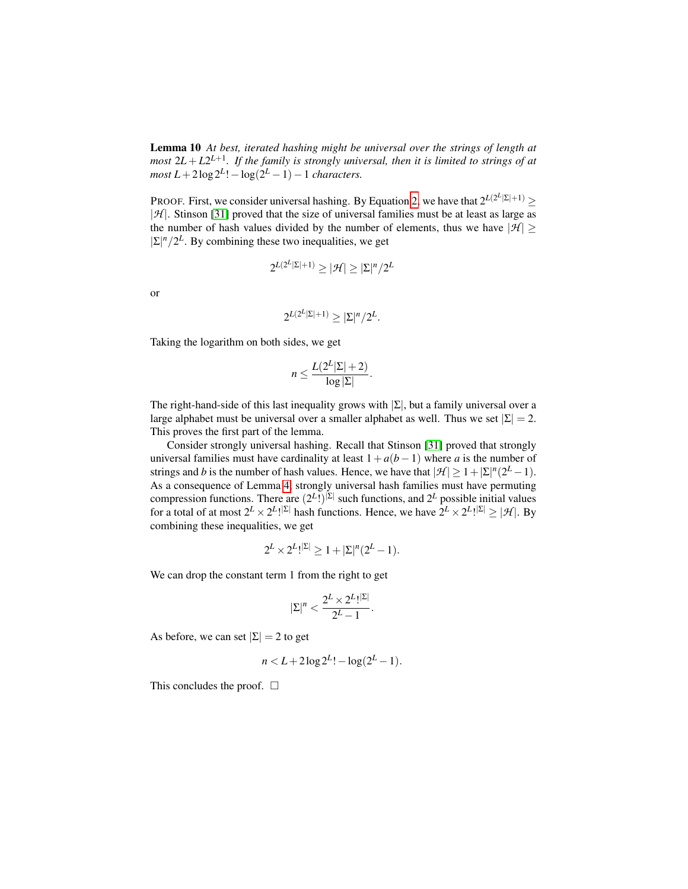Lemma 10 *At best, iterated hashing might be universal over the strings of length at most* 2*L* + *L*2 *L*+1 *. If the family is strongly universal, then it is limited to strings of at*  $most L + 2 \log 2^{L}! - \log(2^{L} - 1) - 1$  *characters.* 

PROOF. First, we consider universal hashing. By Equation [2,](#page-13-2) we have that  $2^{L(2^L|\Sigma|+1)} \geq$ |*H* |. Stinson [\[31\]](#page-20-8) proved that the size of universal families must be at least as large as the number of hash values divided by the number of elements, thus we have  $|\mathcal{H}| \ge$  $|\Sigma|^n/2^L$ . By combining these two inequalities, we get

$$
2^{L(2^L|\Sigma|+1)}\geq |\mathcal{H}|\geq |\Sigma|^n/2^L
$$

or

$$
2^{L(2^L|\Sigma|+1)} \ge |\Sigma|^n/2^L.
$$

Taking the logarithm on both sides, we get

$$
n \leq \frac{L(2^L|\Sigma|+2)}{\log|\Sigma|}.
$$

The right-hand-side of this last inequality grows with  $|\Sigma|$ , but a family universal over a large alphabet must be universal over a smaller alphabet as well. Thus we set  $|\Sigma| = 2$ . This proves the first part of the lemma.

Consider strongly universal hashing. Recall that Stinson [\[31\]](#page-20-8) proved that strongly universal families must have cardinality at least  $1+a(b-1)$  where *a* is the number of strings and *b* is the number of hash values. Hence, we have that  $|\mathcal{H}| \geq 1 + |\Sigma|^n (2^L - 1)$ . As a consequence of Lemma [4,](#page-6-1) strongly universal hash families must have permuting compression functions. There are  $(2^L!)^{\vert \Sigma \vert}$  such functions, and  $2^L$  possible initial values for a total of at most  $2^L \times 2^L$ !<sup>[ $\Sigma$ ]</sup> hash functions. Hence, we have  $2^L \times 2^L$ !<sup>[ $\Sigma$ ]</sup>  $\geq |\mathcal{H}|$ . By combining these inequalities, we get

$$
2^L \times 2^L!^{|{\Sigma}|} \ge 1 + |{\Sigma}|^n (2^L - 1).
$$

We can drop the constant term 1 from the right to get

$$
|\Sigma|^n<\frac{2^L\times 2^L!^{|\Sigma|}}{2^L-1}.
$$

As before, we can set  $|\Sigma| = 2$  to get

$$
n < L + 2\log 2^{L}! - \log(2^{L} - 1).
$$

This concludes the proof.  $\square$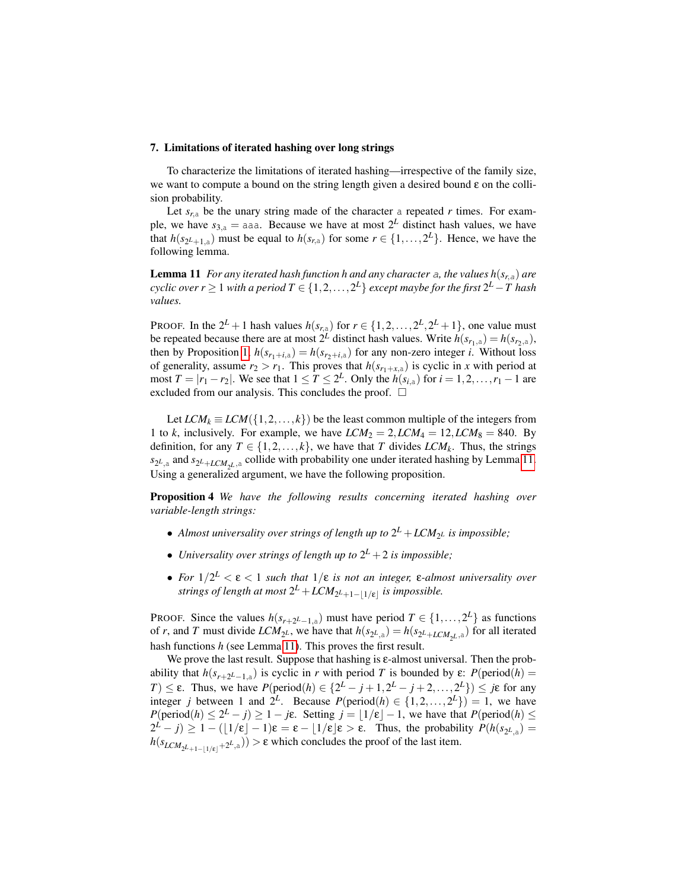### <span id="page-16-0"></span>7. Limitations of iterated hashing over long strings

To characterize the limitations of iterated hashing—irrespective of the family size, we want to compute a bound on the string length given a desired bound ε on the collision probability.

Let  $s_{r,a}$  be the unary string made of the character a repeated *r* times. For example, we have  $s_{3,a} =$  aaa. Because we have at most  $2^L$  distinct hash values, we have that  $h(s_{2^L+1,a})$  must be equal to  $h(s_{r,a})$  for some  $r \in \{1,\ldots,2^L\}$ . Hence, we have the following lemma.

<span id="page-16-1"></span>**Lemma 11** *For any iterated hash function h and any character* a, the values  $h(s_{r,a})$  are  $cyclic$   $over$   $r$   $\geq$   $1$   $with$   $a$   $period$   $T$   $\in$   $\{1,2,\ldots,2^L\}$   $except$   $maybe$   $for$   $the$   $first$   $2^L$   $T$   $hash$ *values.*

PROOF. In the  $2^L + 1$  hash values  $h(s_{r,a})$  for  $r \in \{1, 2, ..., 2^L, 2^L + 1\}$ , one value must be repeated because there are at most  $2^L$  distinct hash values. Write  $h(s_{r_1,a}) = h(s_{r_2,a})$ , then by Proposition [1,](#page-3-2)  $h(s_{r_1+i,a}) = h(s_{r_2+i,a})$  for any non-zero integer *i*. Without loss of generality, assume  $r_2 > r_1$ . This proves that  $h(s_{r_1+x,a})$  is cyclic in *x* with period at most  $T = |r_1 - r_2|$ . We see that  $1 \le T \le 2^L$ . Only the  $h(s_{i,a})$  for  $i = 1, 2, ..., r_1 - 1$  are excluded from our analysis. This concludes the proof.  $\Box$ 

Let  $LCM_k \equiv LCM({1, 2, ..., k})$  be the least common multiple of the integers from 1 to *k*, inclusively. For example, we have  $LCM_2 = 2$ ,  $LCM_4 = 12$ ,  $LCM_8 = 840$ . By definition, for any  $T \in \{1, 2, ..., k\}$ , we have that *T* divides *LCM<sub>k</sub>*. Thus, the strings  $s_{2L,3}$  and  $s_{2L+LCM_{2L},3}$  collide with probability one under iterated hashing by Lemma [11.](#page-16-1) Using a generalized argument, we have the following proposition.

<span id="page-16-2"></span>Proposition 4 *We have the following results concerning iterated hashing over variable-length strings:*

- Almost universality over strings of length up to  $2^L + LCM_{2^L}$  is impossible;
- Universality over strings of length up to  $2^L + 2$  is impossible;
- *For* 1/2 *<sup>L</sup>* < ε < 1 *such that* 1/ε *is not an integer,* ε*-almost universality over*  $s$ *trings of length at most*  $2^L + LCM_{2^L + 1 - \lfloor 1/\epsilon \rfloor}$  *is impossible.*

PROOF. Since the values  $h(s_{r+2^L-1,a})$  must have period  $T \in \{1, ..., 2^L\}$  as functions of *r*, and *T* must divide  $LCM_{2^L}$ , we have that  $h(s_{2^L,a}) = h(s_{2^L+LCM_{2^L},a})$  for all iterated hash functions *h* (see Lemma [11\)](#page-16-1). This proves the first result.

We prove the last result. Suppose that hashing is  $\varepsilon$ -almost universal. Then the probability that  $h(s_{r+2^L-1,a})$  is cyclic in *r* with period *T* is bounded by  $\varepsilon$ :  $P(\text{period}(h) =$  $T \leq \varepsilon$ . Thus, we have  $P(\text{period}(h) \in \{2^L - j + 1, 2^L - j + 2, ..., 2^L\}) \leq j\varepsilon$  for any integer *j* between 1 and  $2^L$ . Because  $P(\text{period}(h) \in \{1, 2, ..., 2^L\}) = 1$ , we have  $P(\text{period}(h) \le 2^L - j) \ge 1 - j\varepsilon$ . Setting  $j = \lfloor 1/\varepsilon \rfloor - 1$ , we have that  $P(\text{period}(h) \le$  $2^L - j$   $\geq 1 - (\lfloor 1/\varepsilon \rfloor - 1)\varepsilon = \varepsilon - \lfloor 1/\varepsilon \rfloor \varepsilon > \varepsilon$ . Thus, the probability  $P(h(s_{2^L, a}) =$  $h(s_{LCM_{2^{L}+1-\lfloor 1/\epsilon \rfloor}+2^{L},a})) > \epsilon$  which concludes the proof of the last item.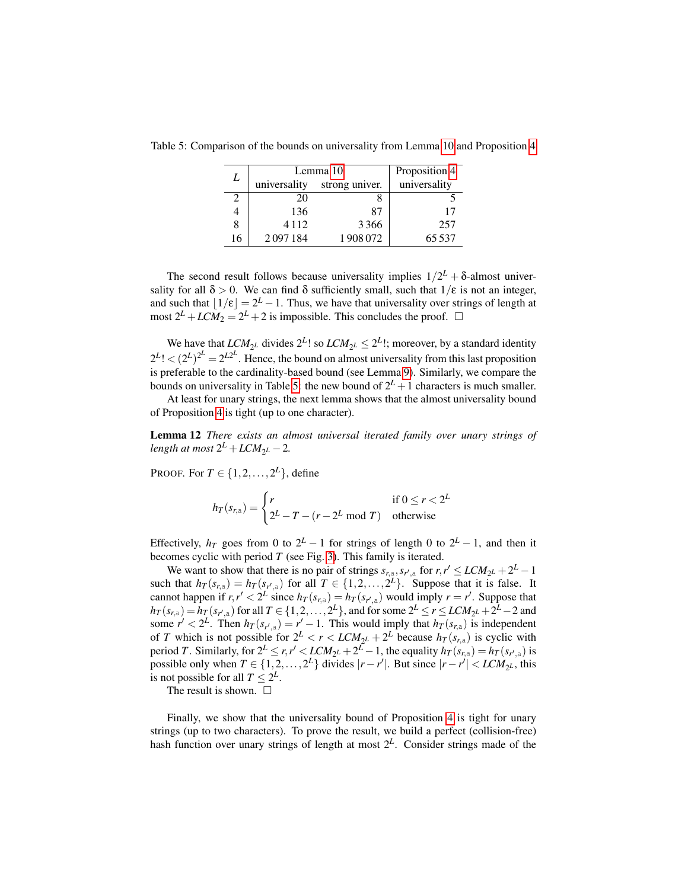|    | Lemma 10     |                | Proposition 4 |
|----|--------------|----------------|---------------|
| L  | universality | strong univer. | universality  |
|    | 20           |                |               |
|    | 136          | 87             | 17            |
|    | 4 1 1 2      | 3366           | 257           |
| 16 | 2097184      | 1908072        | 65537         |

<span id="page-17-0"></span>Table 5: Comparison of the bounds on universality from Lemma [10](#page-14-1) and Proposition [4](#page-16-2)

The second result follows because universality implies  $1/2^L + \delta$ -almost universality for all  $\delta > 0$ . We can find  $\delta$  sufficiently small, such that  $1/\epsilon$  is not an integer, and such that  $\lfloor 1/\varepsilon \rfloor = 2^L - 1$ . Thus, we have that universality over strings of length at most  $2^L + LCM_2 = 2^L + 2$  is impossible. This concludes the proof.  $\Box$ 

We have that  $LCM_{2^L}$  divides  $2^L!$  so  $LCM_{2^L} \leq 2^L!$ ; moreover, by a standard identity  $2^{L}$ !  $\lt (2^{L})^{2^{L}} = 2^{L2^{L}}$ . Hence, the bound on almost universality from this last proposition is preferable to the cardinality-based bound (see Lemma [9\)](#page-14-2). Similarly, we compare the bounds on universality in Table [5:](#page-17-0) the new bound of  $2^L + 1$  characters is much smaller.

At least for unary strings, the next lemma shows that the almost universality bound of Proposition [4](#page-16-2) is tight (up to one character).

Lemma 12 *There exists an almost universal iterated family over unary strings of*  $length$  at most  $2^L + LCM_{2^L} - 2$ .

PROOF. For  $T \in \{1, 2, ..., 2^L\}$ , define

$$
h_T(s_{r,\mathrm{a}}) = \begin{cases} r & \text{if } 0 \le r < 2^L \\ 2^L - T - (r - 2^L \mod T) & \text{otherwise} \end{cases}
$$

Effectively,  $h_T$  goes from 0 to  $2^L - 1$  for strings of length 0 to  $2^L - 1$ , and then it becomes cyclic with period *T* (see Fig. [3\)](#page-18-1). This family is iterated.

We want to show that there is no pair of strings  $s_{r, a}$ ,  $s_{r', a}$  for  $r, r' \leq LCM_{2^L} + 2^L - 1$ such that  $h_T(s_{r,a}) = h_T(s_{r',a})$  for all  $T \in \{1, 2, ..., 2^L\}$ . Suppose that it is false. It cannot happen if  $r, r' < 2^L$  since  $h_T(s_{r,a}) = h_T(s_{r',a})$  would imply  $r = r'$ . Suppose that  $h_T(s_{r,a}) = h_T(s_{r',a})$  for all  $T \in \{1,2,\ldots,2^L\}$ , and for some  $2^L \le r \le LCM_{2^L} + 2^L - 2$  and some  $r' < 2^L$ . Then  $h_T(s_{r,a}) = r' - 1$ . This would imply that  $h_T(s_{r,a})$  is independent of *T* which is not possible for  $2^L < r < LCM_{2^L} + 2^L$  because  $h_T(s_{r,a})$  is cyclic with period *T*. Similarly, for  $2^L \le r, r' < LCM_{2^L} + 2^L - 1$ , the equality  $h_T(s_{r,a}) = h_T(s_{r',a})$  is possible only when  $T \in \{1, 2, ..., 2^L\}$  divides  $|r - r'|$ . But since  $|r - r'| < LCM_{2^L}$ , this is not possible for all  $T \leq 2^L$ .

The result is shown.  $\Box$ 

Finally, we show that the universality bound of Proposition [4](#page-16-2) is tight for unary strings (up to two characters). To prove the result, we build a perfect (collision-free) hash function over unary strings of length at most 2*<sup>L</sup>* . Consider strings made of the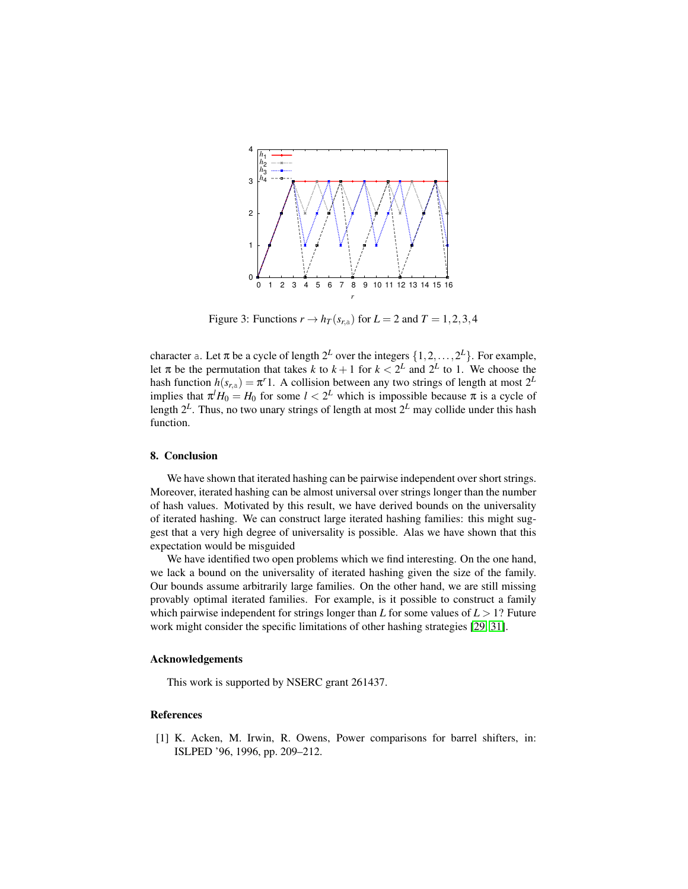<span id="page-18-1"></span>

Figure 3: Functions  $r \to h_T(s_{r,a})$  for  $L = 2$  and  $T = 1, 2, 3, 4$ 

character a. Let  $\pi$  be a cycle of length  $2^L$  over the integers  $\{1, 2, ..., 2^L\}$ . For example, let  $\pi$  be the permutation that takes *k* to  $k+1$  for  $k < 2^L$  and  $2^L$  to 1. We choose the hash function  $h(s_{r,a}) = \pi^r 1$ . A collision between any two strings of length at most  $2^L$ implies that  $\pi^l H_0 = H_0$  for some  $l < 2^L$  which is impossible because  $\pi$  is a cycle of length 2*<sup>L</sup>* . Thus, no two unary strings of length at most 2*<sup>L</sup>* may collide under this hash function.

#### 8. Conclusion

We have shown that iterated hashing can be pairwise independent over short strings. Moreover, iterated hashing can be almost universal over strings longer than the number of hash values. Motivated by this result, we have derived bounds on the universality of iterated hashing. We can construct large iterated hashing families: this might suggest that a very high degree of universality is possible. Alas we have shown that this expectation would be misguided

We have identified two open problems which we find interesting. On the one hand, we lack a bound on the universality of iterated hashing given the size of the family. Our bounds assume arbitrarily large families. On the other hand, we are still missing provably optimal iterated families. For example, is it possible to construct a family which pairwise independent for strings longer than *L* for some values of  $L > 1$ ? Future work might consider the specific limitations of other hashing strategies [\[29,](#page-20-12) [31\]](#page-20-8).

## Acknowledgements

This work is supported by NSERC grant 261437.

## References

<span id="page-18-0"></span>[1] K. Acken, M. Irwin, R. Owens, Power comparisons for barrel shifters, in: ISLPED '96, 1996, pp. 209–212.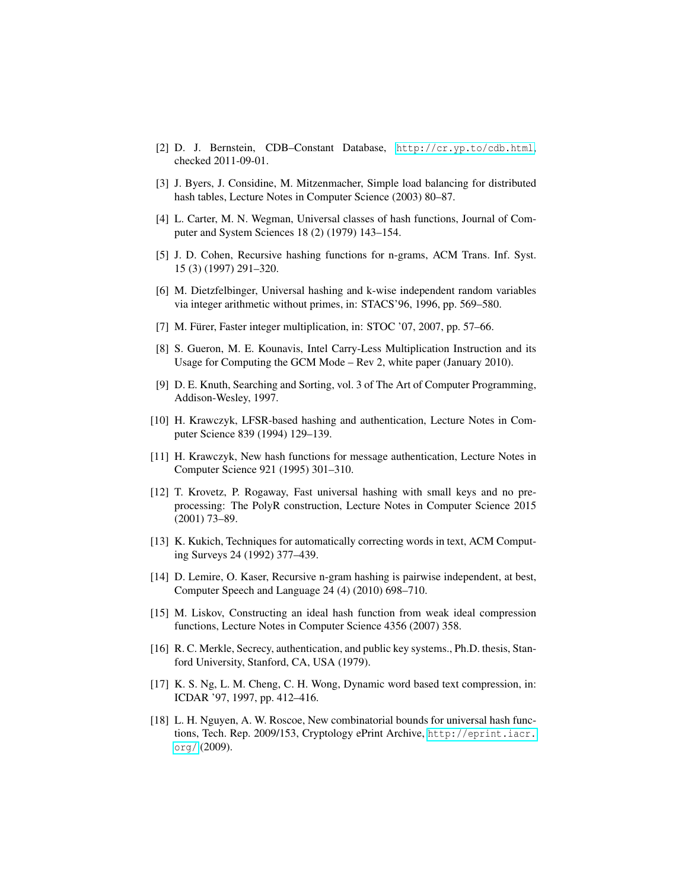- <span id="page-19-16"></span>[2] D. J. Bernstein, CDB–Constant Database, <http://cr.yp.to/cdb.html>, checked 2011-09-01.
- <span id="page-19-0"></span>[3] J. Byers, J. Considine, M. Mitzenmacher, Simple load balancing for distributed hash tables, Lecture Notes in Computer Science (2003) 80–87.
- <span id="page-19-4"></span>[4] L. Carter, M. N. Wegman, Universal classes of hash functions, Journal of Computer and System Sciences 18 (2) (1979) 143–154.
- <span id="page-19-12"></span>[5] J. D. Cohen, Recursive hashing functions for n-grams, ACM Trans. Inf. Syst. 15 (3) (1997) 291–320.
- <span id="page-19-14"></span>[6] M. Dietzfelbinger, Universal hashing and k-wise independent random variables via integer arithmetic without primes, in: STACS'96, 1996, pp. 569–580.
- <span id="page-19-11"></span>[7] M. Fürer, Faster integer multiplication, in: STOC '07, 2007, pp. 57–66.
- <span id="page-19-13"></span>[8] S. Gueron, M. E. Kounavis, Intel Carry-Less Multiplication Instruction and its Usage for Computing the GCM Mode – Rev 2, white paper (January 2010).
- <span id="page-19-1"></span>[9] D. E. Knuth, Searching and Sorting, vol. 3 of The Art of Computer Programming, Addison-Wesley, 1997.
- <span id="page-19-15"></span>[10] H. Krawczyk, LFSR-based hashing and authentication, Lecture Notes in Computer Science 839 (1994) 129–139.
- <span id="page-19-9"></span>[11] H. Krawczyk, New hash functions for message authentication, Lecture Notes in Computer Science 921 (1995) 301–310.
- <span id="page-19-6"></span>[12] T. Krovetz, P. Rogaway, Fast universal hashing with small keys and no preprocessing: The PolyR construction, Lecture Notes in Computer Science 2015 (2001) 73–89.
- <span id="page-19-2"></span>[13] K. Kukich, Techniques for automatically correcting words in text, ACM Computing Surveys 24 (1992) 377–439.
- <span id="page-19-10"></span>[14] D. Lemire, O. Kaser, Recursive n-gram hashing is pairwise independent, at best, Computer Speech and Language 24 (4) (2010) 698–710.
- <span id="page-19-5"></span>[15] M. Liskov, Constructing an ideal hash function from weak ideal compression functions, Lecture Notes in Computer Science 4356 (2007) 358.
- <span id="page-19-7"></span>[16] R. C. Merkle, Secrecy, authentication, and public key systems., Ph.D. thesis, Stanford University, Stanford, CA, USA (1979).
- <span id="page-19-3"></span>[17] K. S. Ng, L. M. Cheng, C. H. Wong, Dynamic word based text compression, in: ICDAR '97, 1997, pp. 412–416.
- <span id="page-19-8"></span>[18] L. H. Nguyen, A. W. Roscoe, New combinatorial bounds for universal hash functions, Tech. Rep. 2009/153, Cryptology ePrint Archive, [http://eprint.iacr.](http://eprint.iacr.org/) [org/](http://eprint.iacr.org/) (2009).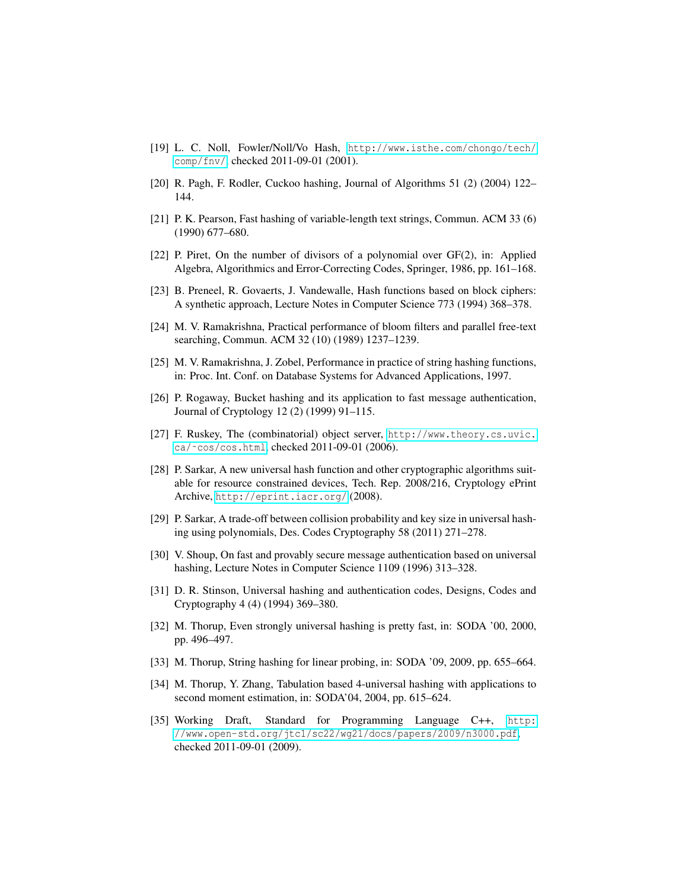- <span id="page-20-15"></span>[19] L. C. Noll, Fowler/Noll/Vo Hash, [http://www.isthe.com/chongo/tech/]( http://www. isthe.com/chongo/tech/comp/fnv/) [comp/fnv/]( http://www. isthe.com/chongo/tech/comp/fnv/), checked 2011-09-01 (2001).
- <span id="page-20-0"></span>[20] R. Pagh, F. Rodler, Cuckoo hashing, Journal of Algorithms 51 (2) (2004) 122– 144.
- <span id="page-20-5"></span>[21] P. K. Pearson, Fast hashing of variable-length text strings, Commun. ACM 33 (6) (1990) 677–680.
- <span id="page-20-14"></span>[22] P. Piret, On the number of divisors of a polynomial over GF(2), in: Applied Algebra, Algorithmics and Error-Correcting Codes, Springer, 1986, pp. 161–168.
- <span id="page-20-4"></span>[23] B. Preneel, R. Govaerts, J. Vandewalle, Hash functions based on block ciphers: A synthetic approach, Lecture Notes in Computer Science 773 (1994) 368–378.
- <span id="page-20-2"></span>[24] M. V. Ramakrishna, Practical performance of bloom filters and parallel free-text searching, Commun. ACM 32 (10) (1989) 1237–1239.
- <span id="page-20-7"></span>[25] M. V. Ramakrishna, J. Zobel, Performance in practice of string hashing functions, in: Proc. Int. Conf. on Database Systems for Advanced Applications, 1997.
- <span id="page-20-3"></span>[26] P. Rogaway, Bucket hashing and its application to fast message authentication, Journal of Cryptology 12 (2) (1999) 91–115.
- <span id="page-20-10"></span>[27] F. Ruskey, The (combinatorial) object server, [http://www.theory.cs.uvic.](http://www.theory.cs.uvic.ca/~cos/cos.html) [ca/˜cos/cos.html](http://www.theory.cs.uvic.ca/~cos/cos.html), checked 2011-09-01 (2006).
- <span id="page-20-9"></span>[28] P. Sarkar, A new universal hash function and other cryptographic algorithms suitable for resource constrained devices, Tech. Rep. 2008/216, Cryptology ePrint Archive, <http://eprint.iacr.org/> (2008).
- <span id="page-20-12"></span>[29] P. Sarkar, A trade-off between collision probability and key size in universal hashing using polynomials, Des. Codes Cryptography 58 (2011) 271–278.
- <span id="page-20-13"></span>[30] V. Shoup, On fast and provably secure message authentication based on universal hashing, Lecture Notes in Computer Science 1109 (1996) 313–328.
- <span id="page-20-8"></span>[31] D. R. Stinson, Universal hashing and authentication codes, Designs, Codes and Cryptography 4 (4) (1994) 369–380.
- <span id="page-20-6"></span>[32] M. Thorup, Even strongly universal hashing is pretty fast, in: SODA '00, 2000, pp. 496–497.
- <span id="page-20-1"></span>[33] M. Thorup, String hashing for linear probing, in: SODA '09, 2009, pp. 655–664.
- <span id="page-20-11"></span>[34] M. Thorup, Y. Zhang, Tabulation based 4-universal hashing with applications to second moment estimation, in: SODA'04, 2004, pp. 615–624.
- <span id="page-20-16"></span>[35] Working Draft, Standard for Programming Language C++, [http:](http://www.open-std.org/jtc1/sc22/wg21/docs/papers/2009/n3000.pdf) [//www.open-std.org/jtc1/sc22/wg21/docs/papers/2009/n3000.pdf](http://www.open-std.org/jtc1/sc22/wg21/docs/papers/2009/n3000.pdf), checked 2011-09-01 (2009).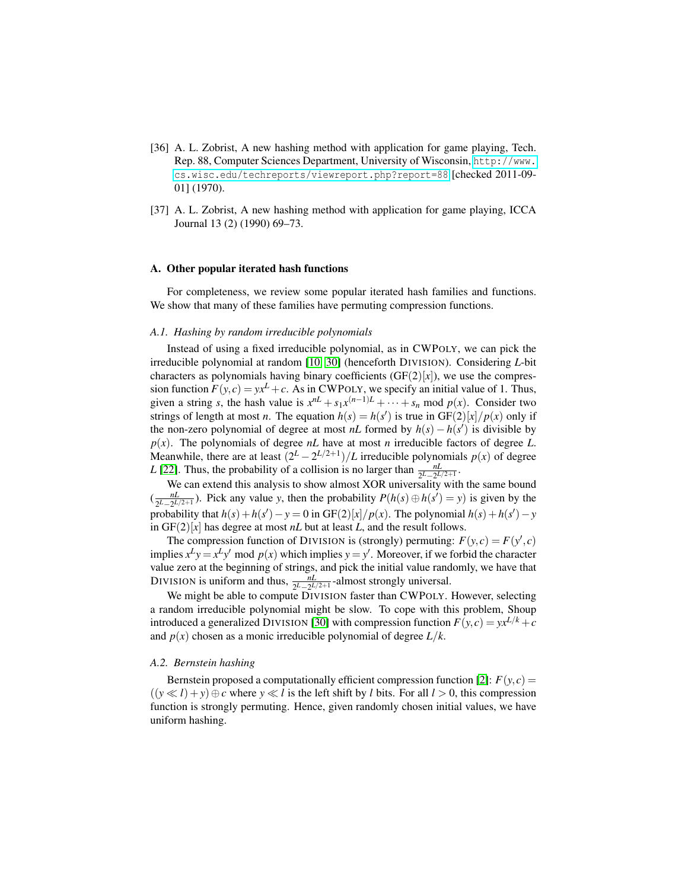- <span id="page-21-0"></span>[36] A. L. Zobrist, A new hashing method with application for game playing, Tech. Rep. 88, Computer Sciences Department, University of Wisconsin, [http://www.](http://www.cs.wisc.edu/techreports/viewreport.php?report=88) [cs.wisc.edu/techreports/viewreport.php?report=88](http://www.cs.wisc.edu/techreports/viewreport.php?report=88) [checked 2011-09- 01] (1970).
- <span id="page-21-1"></span>[37] A. L. Zobrist, A new hashing method with application for game playing, ICCA Journal 13 (2) (1990) 69–73.

#### <span id="page-21-2"></span>A. Other popular iterated hash functions

For completeness, we review some popular iterated hash families and functions. We show that many of these families have permuting compression functions.

## *A.1. Hashing by random irreducible polynomials*

Instead of using a fixed irreducible polynomial, as in CWPOLY, we can pick the irreducible polynomial at random [\[10,](#page-19-15) [30\]](#page-20-13) (henceforth DIVISION). Considering *L*-bit characters as polynomials having binary coefficients  $(GF(2)|x|)$ , we use the compression function  $F(y, c) = yx^L + c$ . As in CWPOLY, we specify an initial value of 1. Thus, given a string *s*, the hash value is  $x^{nL} + s_1x^{(n-1)L} + \cdots + s_n$  mod  $p(x)$ . Consider two strings of length at most *n*. The equation  $h(s) = h(s')$  is true in GF(2)[*x*]/*p*(*x*) only if the non-zero polynomial of degree at most *nL* formed by  $h(s) - h(s')$  is divisible by  $p(x)$ . The polynomials of degree *nL* have at most *n* irreducible factors of degree *L*. Meanwhile, there are at least  $\left(\frac{2^L - 2^{L/2+1}}{\ell}\right)$  irreducible polynomials  $p(x)$  of degree *L* [\[22\]](#page-20-14). Thus, the probability of a collision is no larger than  $\frac{nL}{2^{L-2^{L/2+1}}}$ .

We can extend this analysis to show almost XOR universality with the same bound  $\left(\frac{nL}{2L-2L}\right)$  $\frac{nL}{2^{L}−2^{L/2+1}}$ . Pick any value *y*, then the probability  $P(h(s) ⊕ h(s') = y)$  is given by the probability that  $h(s) + h(s') - y = 0$  in GF(2)[*x*]/*p*(*x*). The polynomial  $h(s) + h(s') - y$ in  $GF(2)[x]$  has degree at most *nL* but at least *L*, and the result follows.

The compression function of DIVISION is (strongly) permuting:  $F(y, c) = F(y', c)$ implies  $x^L y = x^L y'$  mod  $p(x)$  which implies  $y = y'$ . Moreover, if we forbid the character value zero at the beginning of strings, and pick the initial value randomly, we have that DIVISION is uniform and thus,  $\frac{nL}{2^L - 2^L/2 + 1}$ -almost strongly universal.

We might be able to compute DIVISION faster than CWPOLY. However, selecting a random irreducible polynomial might be slow. To cope with this problem, Shoup introduced a generalized DIVISION [\[30\]](#page-20-13) with compression function  $F(y, c) = yx^{L/k} + c$ and  $p(x)$  chosen as a monic irreducible polynomial of degree  $L/k$ .

#### *A.2. Bernstein hashing*

Bernstein proposed a computationally efficient compression function [\[2\]](#page-19-16):  $F(y, c) =$  $((y \ll l) + y) \oplus c$  where  $y \ll l$  is the left shift by *l* bits. For all  $l > 0$ , this compression function is strongly permuting. Hence, given randomly chosen initial values, we have uniform hashing.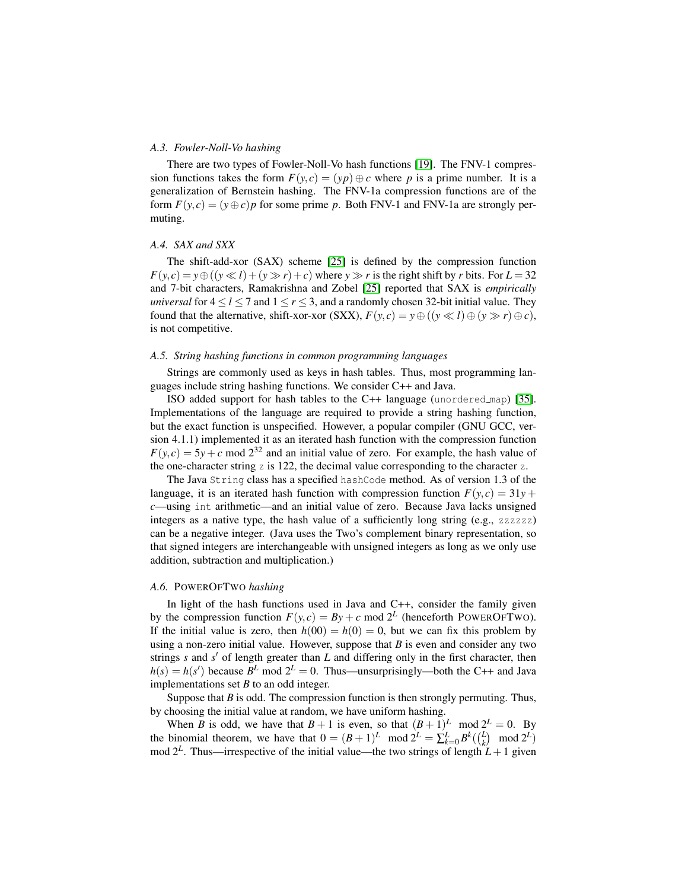## *A.3. Fowler-Noll-Vo hashing*

There are two types of Fowler-Noll-Vo hash functions [\[19\]](#page-20-15). The FNV-1 compression functions takes the form  $F(y, c) = (yp) \oplus c$  where p is a prime number. It is a generalization of Bernstein hashing. The FNV-1a compression functions are of the form  $F(y, c) = (y \oplus c)p$  for some prime p. Both FNV-1 and FNV-1a are strongly permuting.

#### *A.4. SAX and SXX*

The shift-add-xor (SAX) scheme [\[25\]](#page-20-7) is defined by the compression function  $F(y, c) = y \oplus ((y \ll l) + (y \gg r) + c)$  where  $y \gg r$  is the right shift by *r* bits. For  $L = 32$ and 7-bit characters, Ramakrishna and Zobel [\[25\]](#page-20-7) reported that SAX is *empirically universal* for  $4 \le l \le 7$  and  $1 \le r \le 3$ , and a randomly chosen 32-bit initial value. They found that the alternative, shift-xor-xor (SXX),  $F(y, c) = y \oplus ((y \ll l) \oplus (y \gg r) \oplus c)$ , is not competitive.

#### *A.5. String hashing functions in common programming languages*

Strings are commonly used as keys in hash tables. Thus, most programming languages include string hashing functions. We consider C++ and Java.

ISO added support for hash tables to the C++ language (unordered map) [\[35\]](#page-20-16). Implementations of the language are required to provide a string hashing function, but the exact function is unspecified. However, a popular compiler (GNU GCC, version 4.1.1) implemented it as an iterated hash function with the compression function  $F(y, c) = 5y + c$  mod  $2^{32}$  and an initial value of zero. For example, the hash value of the one-character string z is 122, the decimal value corresponding to the character z.

The Java String class has a specified hashCode method. As of version 1.3 of the language, it is an iterated hash function with compression function  $F(y, c) = 31y +$ *c*—using int arithmetic—and an initial value of zero. Because Java lacks unsigned integers as a native type, the hash value of a sufficiently long string  $(e.g., zzzzzz)$ can be a negative integer. (Java uses the Two's complement binary representation, so that signed integers are interchangeable with unsigned integers as long as we only use addition, subtraction and multiplication.)

## *A.6.* POWEROFTWO *hashing*

In light of the hash functions used in Java and C++, consider the family given by the compression function  $F(y, c) = By + c \text{ mod } 2^L$  (henceforth POWEROFTWO). If the initial value is zero, then  $h(00) = h(0) = 0$ , but we can fix this problem by using a non-zero initial value. However, suppose that *B* is even and consider any two strings  $s$  and  $s'$  of length greater than  $L$  and differing only in the first character, then  $h(s) = h(s')$  because  $B^L$  mod  $2^L = 0$ . Thus—unsurprisingly—both the C++ and Java implementations set *B* to an odd integer.

Suppose that  $B$  is odd. The compression function is then strongly permuting. Thus, by choosing the initial value at random, we have uniform hashing.

When *B* is odd, we have that  $B + 1$  is even, so that  $(B + 1)^L$  mod  $2^L = 0$ . By the binomial theorem, we have that  $0 = (B+1)^L \mod 2^L = \sum_{k=0}^L B^k(\binom{L}{k} \mod 2^L)$ mod  $2^L$ . Thus—irrespective of the initial value—the two strings of length  $L+1$  given